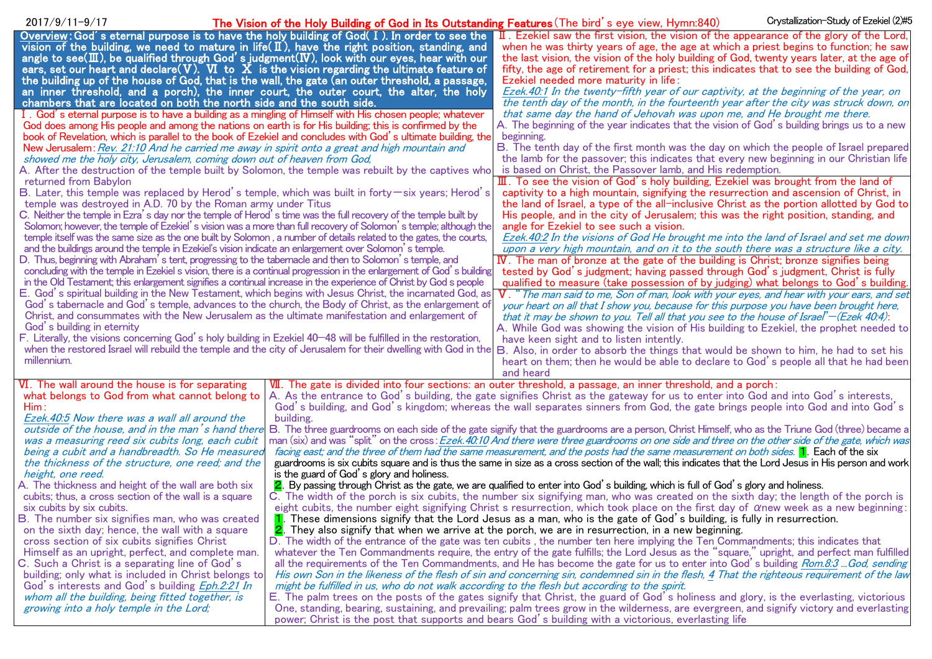| Overview: God's eternal purpose is to have the holy building of God(I). In order to see the<br>$\overline{\mathbf{I}}$ . Ezekiel saw the first vision, the vision of the appearance of the glory of the Lord,<br>vision of the building, we need to mature in life( $\mathbb I$ ), have the right position, standing, and<br>when he was thirty years of age, the age at which a priest begins to function; he saw<br>angle to see( $\mathbb{II}$ ), be qualified through God's judgment( $\mathbb{IV}$ ), look with our eyes, hear with our<br>the last vision, the vision of the holy building of God, twenty years later, at the age of<br>ears, set our heart and declare(V). VI to $X$ is the vision regarding the ultimate feature of<br>fifty, the age of retirement for a priest; this indicates that to see the building of God,<br>the building up of the house of God, that is the wall, the gate (an outer threshold, a passage,<br>Ezekiel needed more maturity in life:<br>an inner threshold, and a porch), the inner court, the outer court, the alter, the holy<br>Ezek.40:1 In the twenty-fifth year of our captivity, at the beginning of the year, on<br>chambers that are located on both the north side and the south side.<br>the tenth day of the month, in the fourteenth year after the city was struck down, on<br>I. God's eternal purpose is to have a building as a mingling of Himself with His chosen people; whatever<br>that same day the hand of Jehovah was upon me, and He brought me there.<br>A. The beginning of the year indicates that the vision of God's building brings us to a new<br>God does among His people and among the nations on earth is for His building; this is confirmed by the<br>book of Revelation, which is parallel to the book of Ezekiel and concludes with God's ultimate building, the<br>beginning.<br>B. The tenth day of the first month was the day on which the people of Israel prepared<br>New Jerusalem: Rev. 21:10 And he carried me away in spirit onto a great and high mountain and<br>the lamb for the passover; this indicates that every new beginning in our Christian life<br>showed me the holy city, Jerusalem, coming down out of heaven from God,<br>A. After the destruction of the temple built by Solomon, the temple was rebuilt by the captives who<br>is based on Christ, the Passover lamb, and His redemption.<br>III. To see the vision of God's holy building, Ezekiel was brought from the land of<br>returned from Babylon<br>B. Later, this temple was replaced by Herod's temple, which was built in forty — six years; Herod's<br>captivity to a high mountain, signifying the resurrection and ascension of Christ, in<br>temple was destroyed in A.D. 70 by the Roman army under Titus<br>the land of Israel, a type of the all-inclusive Christ as the portion allotted by God to<br>C. Neither the temple in Ezra's day nor the temple of Herod's time was the full recovery of the temple built by<br>His people, and in the city of Jerusalem; this was the right position, standing, and<br>Solomon; however, the temple of Ezekiel's vision was a more than full recovery of Solomon's temple; although the<br>angle for Ezekiel to see such a vision.<br>temple itself was the same size as the one built by Solomon, a number of details related to the gates, the courts,<br>Ezek.40:2 In the visions of God He brought me into the land of Israel and set me down<br>and the buildings around the temple in Ezekiel's vision indicate an enlargement over Solomon's temple.<br>upon a very high mountain, and on it to the south there was a structure like a city.<br>D. Thus, beginning with Abraham's tent, progressing to the tabernacle and then to Solomon's temple, and<br>IV. The man of bronze at the gate of the building is Christ; bronze signifies being<br>concluding with the temple in Ezekiel s vision, there is a continual progression in the enlargement of God's building<br>tested by God's judgment; having passed through God's judgment, Christ is fully<br>in the Old Testament; this enlargement signifies a continual increase in the experience of Christ by God s people<br>qualified to measure (take possession of by judging) what belongs to God's building.<br>E. God's spiritual building in the New Testament, which begins with Jesus Christ, the incarnated God, as<br>$V$ . " The man said to me, Son of man, look with your eyes, and hear with your ears, and set<br>God's tabernacle and God's temple, advances to the church, the Body of Christ, as the enlargement of<br>your heart on all that I show you, because for this purpose you have been brought here,<br>Christ, and consummates with the New Jerusalem as the ultimate manifestation and enlargement of<br>that it may be shown to you. Tell all that you see to the house of Israel' $-(Ezek 40.4)$ :<br>God's building in eternity<br>A. While God was showing the vision of His building to Ezekiel, the prophet needed to<br>F. Literally, the visions concerning God's holy building in Ezekiel 40–48 will be fulfilled in the restoration,<br>have keen sight and to listen intently.<br>when the restored Israel will rebuild the temple and the city of Jerusalem for their dwelling with God in the<br>B. Also, in order to absorb the things that would be shown to him, he had to set his<br>millennium.<br>heart on them; then he would be able to declare to God's people all that he had been<br>and heard<br>VII. The gate is divided into four sections: an outer threshold, a passage, an inner threshold, and a porch:<br>VI. The wall around the house is for separating<br>what belongs to God from what cannot belong to<br>A. As the entrance to God's building, the gate signifies Christ as the gateway for us to enter into God and into God's interests,<br>Him :<br>God's building, and God's kingdom; whereas the wall separates sinners from God, the gate brings people into God and into God's<br>Ezek.40:5 Now there was a wall all around the<br>building.<br>outside of the house, and in the man's hand there<br>B. The three guardrooms on each side of the gate signify that the guardrooms are a person, Christ Himself, who as the Triune God (three) became a<br>man (six) and was "split" on the cross: Ezek.40:10 And there were three guardrooms on one side and three on the other side of the gate, which was<br>was a measuring reed six cubits long, each cubit<br>being a cubit and a handbreadth. So He measured<br>facing east; and the three of them had the same measurement, and the posts had the same measurement on both sides. 1. Each of the six<br>the thickness of the structure, one reed; and the<br>guardrooms is six cubits square and is thus the same in size as a cross section of the wall; this indicates that the Lord Jesus in His person and work<br>is the guard of God's glory and holiness.<br>height, one reed.<br>A. The thickness and height of the wall are both six<br>2. By passing through Christ as the gate, we are qualified to enter into God's building, which is full of God's glory and holiness.<br>cubits; thus, a cross section of the wall is a square<br>C. The width of the porch is six cubits, the number six signifying man, who was created on the sixth day; the length of the porch is<br>six cubits by six cubits.<br>eight cubits, the number eight signifying Christ s resurrection, which took place on the first day of $\alpha$ new week as a new beginning:<br>These dimensions signify that the Lord Jesus as a man, who is the gate of God's building, is fully in resurrection.<br>B. The number six signifies man, who was created<br>on the sixth day; hence, the wall with a square<br>2. They also signify that when we arrive at the porch, we are in resurrection, in a new beginning.<br>D. The width of the entrance of the gate was ten cubits, the number ten here implying the Ten Commandments; this indicates that<br>cross section of six cubits signifies Christ<br>whatever the Ten Commandments require, the entry of the gate fulfills; the Lord Jesus as the "square," upright, and perfect man fulfilled<br>Himself as an upright, perfect, and complete man.<br>all the requirements of the Ten Commandments, and He has become the gate for us to enter into God's building Rom.8:3  God, sending<br>C. Such a Christ is a separating line of God's<br>building; only what is included in Christ belongs to<br>His own Son in the likeness of the flesh of sin and concerning sin, condemned sin in the flesh, 4 That the righteous requirement of the law<br>God's interests and God's building Eph.2:21 In<br>might be fulfilled in us, who do not walk according to the flesh but according to the spirit.<br>whom all the building, being fitted together, is<br>E. The palm trees on the posts of the gates signify that Christ, the guard of God's holiness and glory, is the everlasting, victorious<br>growing into a holy temple in the Lord;<br>One, standing, bearing, sustaining, and prevailing; palm trees grow in the wilderness, are evergreen, and signify victory and everlasting<br>power; Christ is the post that supports and bears God's building with a victorious, everlasting life | $2017/9/11 - 9/17$ | The Vision of the Holy Building of God in Its Outstanding Features (The bird's eye view, Hymn:840) | Crystallization-Study of Ezekiel (2)#5 |
|--------------------------------------------------------------------------------------------------------------------------------------------------------------------------------------------------------------------------------------------------------------------------------------------------------------------------------------------------------------------------------------------------------------------------------------------------------------------------------------------------------------------------------------------------------------------------------------------------------------------------------------------------------------------------------------------------------------------------------------------------------------------------------------------------------------------------------------------------------------------------------------------------------------------------------------------------------------------------------------------------------------------------------------------------------------------------------------------------------------------------------------------------------------------------------------------------------------------------------------------------------------------------------------------------------------------------------------------------------------------------------------------------------------------------------------------------------------------------------------------------------------------------------------------------------------------------------------------------------------------------------------------------------------------------------------------------------------------------------------------------------------------------------------------------------------------------------------------------------------------------------------------------------------------------------------------------------------------------------------------------------------------------------------------------------------------------------------------------------------------------------------------------------------------------------------------------------------------------------------------------------------------------------------------------------------------------------------------------------------------------------------------------------------------------------------------------------------------------------------------------------------------------------------------------------------------------------------------------------------------------------------------------------------------------------------------------------------------------------------------------------------------------------------------------------------------------------------------------------------------------------------------------------------------------------------------------------------------------------------------------------------------------------------------------------------------------------------------------------------------------------------------------------------------------------------------------------------------------------------------------------------------------------------------------------------------------------------------------------------------------------------------------------------------------------------------------------------------------------------------------------------------------------------------------------------------------------------------------------------------------------------------------------------------------------------------------------------------------------------------------------------------------------------------------------------------------------------------------------------------------------------------------------------------------------------------------------------------------------------------------------------------------------------------------------------------------------------------------------------------------------------------------------------------------------------------------------------------------------------------------------------------------------------------------------------------------------------------------------------------------------------------------------------------------------------------------------------------------------------------------------------------------------------------------------------------------------------------------------------------------------------------------------------------------------------------------------------------------------------------------------------------------------------------------------------------------------------------------------------------------------------------------------------------------------------------------------------------------------------------------------------------------------------------------------------------------------------------------------------------------------------------------------------------------------------------------------------------------------------------------------------------------------------------------------------------------------------------------------------------------------------------------------------------------------------------------------------------------------------------------------------------------------------------------------------------------------------------------------------------------------------------------------------------------------------------------------------------------------------------------------------------------------------------------------------------------------------------------------------------------------------------------------------------------------------------------------------------------------------------------------------------------------------------------------------------------------------------------------------------------------------------------------------------------------------------------------------------------------------------------------------------------------------------------------------------------------------------------------------------------------------------------------------------------------------------------------------------------------------------------------------------------------------------------------------------------------------------------------------------------------------------------------------------------------------------------------------------------------------------------------------------------------------------------------------------------------------------------------------------------------------------------------------------------------------------------------------------------------------------------------------------------------------------------------------------------------------------------------------------------------------------------------------------------------------------------------------------------------------------------------------------------------------------------------------------------------------------------------------------------------------------------------------------------------------------------------------------------------------------------------------------------------------------------------------------------------------------------------------------------------------------------------------------------------------------------------------------------------------------------------------------------------------------------------------------------------------------------------------------------------------------------------------------------------------------------------------------------------------------------------------------------------------------------------------------------------------------------------------------------------------------------------------------------------------------------------------------------------------------------------------------------------------------------------------------------------------------------------------------------------------------------------------------------------------------------------------------------------------------------------------------------------------------------------------------------------------------------------------------------------------------------------------------------------------------------------------------------------------------------------------------------------------------------------------------------------------------------------------------------------------------------------------------------------------------------------------------------------------------------------------------------------------------------------------------------------------------------------------------------------------------------------------------------------------------------------------------------------------------------------------------------------------------------------------------------------------------------------------------------------|--------------------|----------------------------------------------------------------------------------------------------|----------------------------------------|
|                                                                                                                                                                                                                                                                                                                                                                                                                                                                                                                                                                                                                                                                                                                                                                                                                                                                                                                                                                                                                                                                                                                                                                                                                                                                                                                                                                                                                                                                                                                                                                                                                                                                                                                                                                                                                                                                                                                                                                                                                                                                                                                                                                                                                                                                                                                                                                                                                                                                                                                                                                                                                                                                                                                                                                                                                                                                                                                                                                                                                                                                                                                                                                                                                                                                                                                                                                                                                                                                                                                                                                                                                                                                                                                                                                                                                                                                                                                                                                                                                                                                                                                                                                                                                                                                                                                                                                                                                                                                                                                                                                                                                                                                                                                                                                                                                                                                                                                                                                                                                                                                                                                                                                                                                                                                                                                                                                                                                                                                                                                                                                                                                                                                                                                                                                                                                                                                                                                                                                                                                                                                                                                                                                                                                                                                                                                                                                                                                                                                                                                                                                                                                                                                                                                                                                                                                                                                                                                                                                                                                                                                                                                                                                                                                                                                                                                                                                                                                                                                                                                                                                                                                                                                                                                                                                                                                                                                                                                                                                                                                                                                                                                                                                                                                                                                                                                                                                                                                                                                                                                                                                                                                                                                                                                                                                                                                                                                                                                                                                                                                                                                                                                                                                                                                                                                                                                                                                                |                    |                                                                                                    |                                        |
|                                                                                                                                                                                                                                                                                                                                                                                                                                                                                                                                                                                                                                                                                                                                                                                                                                                                                                                                                                                                                                                                                                                                                                                                                                                                                                                                                                                                                                                                                                                                                                                                                                                                                                                                                                                                                                                                                                                                                                                                                                                                                                                                                                                                                                                                                                                                                                                                                                                                                                                                                                                                                                                                                                                                                                                                                                                                                                                                                                                                                                                                                                                                                                                                                                                                                                                                                                                                                                                                                                                                                                                                                                                                                                                                                                                                                                                                                                                                                                                                                                                                                                                                                                                                                                                                                                                                                                                                                                                                                                                                                                                                                                                                                                                                                                                                                                                                                                                                                                                                                                                                                                                                                                                                                                                                                                                                                                                                                                                                                                                                                                                                                                                                                                                                                                                                                                                                                                                                                                                                                                                                                                                                                                                                                                                                                                                                                                                                                                                                                                                                                                                                                                                                                                                                                                                                                                                                                                                                                                                                                                                                                                                                                                                                                                                                                                                                                                                                                                                                                                                                                                                                                                                                                                                                                                                                                                                                                                                                                                                                                                                                                                                                                                                                                                                                                                                                                                                                                                                                                                                                                                                                                                                                                                                                                                                                                                                                                                                                                                                                                                                                                                                                                                                                                                                                                                                                                                                |                    |                                                                                                    |                                        |
|                                                                                                                                                                                                                                                                                                                                                                                                                                                                                                                                                                                                                                                                                                                                                                                                                                                                                                                                                                                                                                                                                                                                                                                                                                                                                                                                                                                                                                                                                                                                                                                                                                                                                                                                                                                                                                                                                                                                                                                                                                                                                                                                                                                                                                                                                                                                                                                                                                                                                                                                                                                                                                                                                                                                                                                                                                                                                                                                                                                                                                                                                                                                                                                                                                                                                                                                                                                                                                                                                                                                                                                                                                                                                                                                                                                                                                                                                                                                                                                                                                                                                                                                                                                                                                                                                                                                                                                                                                                                                                                                                                                                                                                                                                                                                                                                                                                                                                                                                                                                                                                                                                                                                                                                                                                                                                                                                                                                                                                                                                                                                                                                                                                                                                                                                                                                                                                                                                                                                                                                                                                                                                                                                                                                                                                                                                                                                                                                                                                                                                                                                                                                                                                                                                                                                                                                                                                                                                                                                                                                                                                                                                                                                                                                                                                                                                                                                                                                                                                                                                                                                                                                                                                                                                                                                                                                                                                                                                                                                                                                                                                                                                                                                                                                                                                                                                                                                                                                                                                                                                                                                                                                                                                                                                                                                                                                                                                                                                                                                                                                                                                                                                                                                                                                                                                                                                                                                                                |                    |                                                                                                    |                                        |
|                                                                                                                                                                                                                                                                                                                                                                                                                                                                                                                                                                                                                                                                                                                                                                                                                                                                                                                                                                                                                                                                                                                                                                                                                                                                                                                                                                                                                                                                                                                                                                                                                                                                                                                                                                                                                                                                                                                                                                                                                                                                                                                                                                                                                                                                                                                                                                                                                                                                                                                                                                                                                                                                                                                                                                                                                                                                                                                                                                                                                                                                                                                                                                                                                                                                                                                                                                                                                                                                                                                                                                                                                                                                                                                                                                                                                                                                                                                                                                                                                                                                                                                                                                                                                                                                                                                                                                                                                                                                                                                                                                                                                                                                                                                                                                                                                                                                                                                                                                                                                                                                                                                                                                                                                                                                                                                                                                                                                                                                                                                                                                                                                                                                                                                                                                                                                                                                                                                                                                                                                                                                                                                                                                                                                                                                                                                                                                                                                                                                                                                                                                                                                                                                                                                                                                                                                                                                                                                                                                                                                                                                                                                                                                                                                                                                                                                                                                                                                                                                                                                                                                                                                                                                                                                                                                                                                                                                                                                                                                                                                                                                                                                                                                                                                                                                                                                                                                                                                                                                                                                                                                                                                                                                                                                                                                                                                                                                                                                                                                                                                                                                                                                                                                                                                                                                                                                                                                                |                    |                                                                                                    |                                        |
|                                                                                                                                                                                                                                                                                                                                                                                                                                                                                                                                                                                                                                                                                                                                                                                                                                                                                                                                                                                                                                                                                                                                                                                                                                                                                                                                                                                                                                                                                                                                                                                                                                                                                                                                                                                                                                                                                                                                                                                                                                                                                                                                                                                                                                                                                                                                                                                                                                                                                                                                                                                                                                                                                                                                                                                                                                                                                                                                                                                                                                                                                                                                                                                                                                                                                                                                                                                                                                                                                                                                                                                                                                                                                                                                                                                                                                                                                                                                                                                                                                                                                                                                                                                                                                                                                                                                                                                                                                                                                                                                                                                                                                                                                                                                                                                                                                                                                                                                                                                                                                                                                                                                                                                                                                                                                                                                                                                                                                                                                                                                                                                                                                                                                                                                                                                                                                                                                                                                                                                                                                                                                                                                                                                                                                                                                                                                                                                                                                                                                                                                                                                                                                                                                                                                                                                                                                                                                                                                                                                                                                                                                                                                                                                                                                                                                                                                                                                                                                                                                                                                                                                                                                                                                                                                                                                                                                                                                                                                                                                                                                                                                                                                                                                                                                                                                                                                                                                                                                                                                                                                                                                                                                                                                                                                                                                                                                                                                                                                                                                                                                                                                                                                                                                                                                                                                                                                                                                |                    |                                                                                                    |                                        |
|                                                                                                                                                                                                                                                                                                                                                                                                                                                                                                                                                                                                                                                                                                                                                                                                                                                                                                                                                                                                                                                                                                                                                                                                                                                                                                                                                                                                                                                                                                                                                                                                                                                                                                                                                                                                                                                                                                                                                                                                                                                                                                                                                                                                                                                                                                                                                                                                                                                                                                                                                                                                                                                                                                                                                                                                                                                                                                                                                                                                                                                                                                                                                                                                                                                                                                                                                                                                                                                                                                                                                                                                                                                                                                                                                                                                                                                                                                                                                                                                                                                                                                                                                                                                                                                                                                                                                                                                                                                                                                                                                                                                                                                                                                                                                                                                                                                                                                                                                                                                                                                                                                                                                                                                                                                                                                                                                                                                                                                                                                                                                                                                                                                                                                                                                                                                                                                                                                                                                                                                                                                                                                                                                                                                                                                                                                                                                                                                                                                                                                                                                                                                                                                                                                                                                                                                                                                                                                                                                                                                                                                                                                                                                                                                                                                                                                                                                                                                                                                                                                                                                                                                                                                                                                                                                                                                                                                                                                                                                                                                                                                                                                                                                                                                                                                                                                                                                                                                                                                                                                                                                                                                                                                                                                                                                                                                                                                                                                                                                                                                                                                                                                                                                                                                                                                                                                                                                                                |                    |                                                                                                    |                                        |
|                                                                                                                                                                                                                                                                                                                                                                                                                                                                                                                                                                                                                                                                                                                                                                                                                                                                                                                                                                                                                                                                                                                                                                                                                                                                                                                                                                                                                                                                                                                                                                                                                                                                                                                                                                                                                                                                                                                                                                                                                                                                                                                                                                                                                                                                                                                                                                                                                                                                                                                                                                                                                                                                                                                                                                                                                                                                                                                                                                                                                                                                                                                                                                                                                                                                                                                                                                                                                                                                                                                                                                                                                                                                                                                                                                                                                                                                                                                                                                                                                                                                                                                                                                                                                                                                                                                                                                                                                                                                                                                                                                                                                                                                                                                                                                                                                                                                                                                                                                                                                                                                                                                                                                                                                                                                                                                                                                                                                                                                                                                                                                                                                                                                                                                                                                                                                                                                                                                                                                                                                                                                                                                                                                                                                                                                                                                                                                                                                                                                                                                                                                                                                                                                                                                                                                                                                                                                                                                                                                                                                                                                                                                                                                                                                                                                                                                                                                                                                                                                                                                                                                                                                                                                                                                                                                                                                                                                                                                                                                                                                                                                                                                                                                                                                                                                                                                                                                                                                                                                                                                                                                                                                                                                                                                                                                                                                                                                                                                                                                                                                                                                                                                                                                                                                                                                                                                                                                                |                    |                                                                                                    |                                        |
|                                                                                                                                                                                                                                                                                                                                                                                                                                                                                                                                                                                                                                                                                                                                                                                                                                                                                                                                                                                                                                                                                                                                                                                                                                                                                                                                                                                                                                                                                                                                                                                                                                                                                                                                                                                                                                                                                                                                                                                                                                                                                                                                                                                                                                                                                                                                                                                                                                                                                                                                                                                                                                                                                                                                                                                                                                                                                                                                                                                                                                                                                                                                                                                                                                                                                                                                                                                                                                                                                                                                                                                                                                                                                                                                                                                                                                                                                                                                                                                                                                                                                                                                                                                                                                                                                                                                                                                                                                                                                                                                                                                                                                                                                                                                                                                                                                                                                                                                                                                                                                                                                                                                                                                                                                                                                                                                                                                                                                                                                                                                                                                                                                                                                                                                                                                                                                                                                                                                                                                                                                                                                                                                                                                                                                                                                                                                                                                                                                                                                                                                                                                                                                                                                                                                                                                                                                                                                                                                                                                                                                                                                                                                                                                                                                                                                                                                                                                                                                                                                                                                                                                                                                                                                                                                                                                                                                                                                                                                                                                                                                                                                                                                                                                                                                                                                                                                                                                                                                                                                                                                                                                                                                                                                                                                                                                                                                                                                                                                                                                                                                                                                                                                                                                                                                                                                                                                                                                |                    |                                                                                                    |                                        |
|                                                                                                                                                                                                                                                                                                                                                                                                                                                                                                                                                                                                                                                                                                                                                                                                                                                                                                                                                                                                                                                                                                                                                                                                                                                                                                                                                                                                                                                                                                                                                                                                                                                                                                                                                                                                                                                                                                                                                                                                                                                                                                                                                                                                                                                                                                                                                                                                                                                                                                                                                                                                                                                                                                                                                                                                                                                                                                                                                                                                                                                                                                                                                                                                                                                                                                                                                                                                                                                                                                                                                                                                                                                                                                                                                                                                                                                                                                                                                                                                                                                                                                                                                                                                                                                                                                                                                                                                                                                                                                                                                                                                                                                                                                                                                                                                                                                                                                                                                                                                                                                                                                                                                                                                                                                                                                                                                                                                                                                                                                                                                                                                                                                                                                                                                                                                                                                                                                                                                                                                                                                                                                                                                                                                                                                                                                                                                                                                                                                                                                                                                                                                                                                                                                                                                                                                                                                                                                                                                                                                                                                                                                                                                                                                                                                                                                                                                                                                                                                                                                                                                                                                                                                                                                                                                                                                                                                                                                                                                                                                                                                                                                                                                                                                                                                                                                                                                                                                                                                                                                                                                                                                                                                                                                                                                                                                                                                                                                                                                                                                                                                                                                                                                                                                                                                                                                                                                                                |                    |                                                                                                    |                                        |
|                                                                                                                                                                                                                                                                                                                                                                                                                                                                                                                                                                                                                                                                                                                                                                                                                                                                                                                                                                                                                                                                                                                                                                                                                                                                                                                                                                                                                                                                                                                                                                                                                                                                                                                                                                                                                                                                                                                                                                                                                                                                                                                                                                                                                                                                                                                                                                                                                                                                                                                                                                                                                                                                                                                                                                                                                                                                                                                                                                                                                                                                                                                                                                                                                                                                                                                                                                                                                                                                                                                                                                                                                                                                                                                                                                                                                                                                                                                                                                                                                                                                                                                                                                                                                                                                                                                                                                                                                                                                                                                                                                                                                                                                                                                                                                                                                                                                                                                                                                                                                                                                                                                                                                                                                                                                                                                                                                                                                                                                                                                                                                                                                                                                                                                                                                                                                                                                                                                                                                                                                                                                                                                                                                                                                                                                                                                                                                                                                                                                                                                                                                                                                                                                                                                                                                                                                                                                                                                                                                                                                                                                                                                                                                                                                                                                                                                                                                                                                                                                                                                                                                                                                                                                                                                                                                                                                                                                                                                                                                                                                                                                                                                                                                                                                                                                                                                                                                                                                                                                                                                                                                                                                                                                                                                                                                                                                                                                                                                                                                                                                                                                                                                                                                                                                                                                                                                                                                                |                    |                                                                                                    |                                        |
|                                                                                                                                                                                                                                                                                                                                                                                                                                                                                                                                                                                                                                                                                                                                                                                                                                                                                                                                                                                                                                                                                                                                                                                                                                                                                                                                                                                                                                                                                                                                                                                                                                                                                                                                                                                                                                                                                                                                                                                                                                                                                                                                                                                                                                                                                                                                                                                                                                                                                                                                                                                                                                                                                                                                                                                                                                                                                                                                                                                                                                                                                                                                                                                                                                                                                                                                                                                                                                                                                                                                                                                                                                                                                                                                                                                                                                                                                                                                                                                                                                                                                                                                                                                                                                                                                                                                                                                                                                                                                                                                                                                                                                                                                                                                                                                                                                                                                                                                                                                                                                                                                                                                                                                                                                                                                                                                                                                                                                                                                                                                                                                                                                                                                                                                                                                                                                                                                                                                                                                                                                                                                                                                                                                                                                                                                                                                                                                                                                                                                                                                                                                                                                                                                                                                                                                                                                                                                                                                                                                                                                                                                                                                                                                                                                                                                                                                                                                                                                                                                                                                                                                                                                                                                                                                                                                                                                                                                                                                                                                                                                                                                                                                                                                                                                                                                                                                                                                                                                                                                                                                                                                                                                                                                                                                                                                                                                                                                                                                                                                                                                                                                                                                                                                                                                                                                                                                                                                |                    |                                                                                                    |                                        |
|                                                                                                                                                                                                                                                                                                                                                                                                                                                                                                                                                                                                                                                                                                                                                                                                                                                                                                                                                                                                                                                                                                                                                                                                                                                                                                                                                                                                                                                                                                                                                                                                                                                                                                                                                                                                                                                                                                                                                                                                                                                                                                                                                                                                                                                                                                                                                                                                                                                                                                                                                                                                                                                                                                                                                                                                                                                                                                                                                                                                                                                                                                                                                                                                                                                                                                                                                                                                                                                                                                                                                                                                                                                                                                                                                                                                                                                                                                                                                                                                                                                                                                                                                                                                                                                                                                                                                                                                                                                                                                                                                                                                                                                                                                                                                                                                                                                                                                                                                                                                                                                                                                                                                                                                                                                                                                                                                                                                                                                                                                                                                                                                                                                                                                                                                                                                                                                                                                                                                                                                                                                                                                                                                                                                                                                                                                                                                                                                                                                                                                                                                                                                                                                                                                                                                                                                                                                                                                                                                                                                                                                                                                                                                                                                                                                                                                                                                                                                                                                                                                                                                                                                                                                                                                                                                                                                                                                                                                                                                                                                                                                                                                                                                                                                                                                                                                                                                                                                                                                                                                                                                                                                                                                                                                                                                                                                                                                                                                                                                                                                                                                                                                                                                                                                                                                                                                                                                                                |                    |                                                                                                    |                                        |
|                                                                                                                                                                                                                                                                                                                                                                                                                                                                                                                                                                                                                                                                                                                                                                                                                                                                                                                                                                                                                                                                                                                                                                                                                                                                                                                                                                                                                                                                                                                                                                                                                                                                                                                                                                                                                                                                                                                                                                                                                                                                                                                                                                                                                                                                                                                                                                                                                                                                                                                                                                                                                                                                                                                                                                                                                                                                                                                                                                                                                                                                                                                                                                                                                                                                                                                                                                                                                                                                                                                                                                                                                                                                                                                                                                                                                                                                                                                                                                                                                                                                                                                                                                                                                                                                                                                                                                                                                                                                                                                                                                                                                                                                                                                                                                                                                                                                                                                                                                                                                                                                                                                                                                                                                                                                                                                                                                                                                                                                                                                                                                                                                                                                                                                                                                                                                                                                                                                                                                                                                                                                                                                                                                                                                                                                                                                                                                                                                                                                                                                                                                                                                                                                                                                                                                                                                                                                                                                                                                                                                                                                                                                                                                                                                                                                                                                                                                                                                                                                                                                                                                                                                                                                                                                                                                                                                                                                                                                                                                                                                                                                                                                                                                                                                                                                                                                                                                                                                                                                                                                                                                                                                                                                                                                                                                                                                                                                                                                                                                                                                                                                                                                                                                                                                                                                                                                                                                                |                    |                                                                                                    |                                        |
|                                                                                                                                                                                                                                                                                                                                                                                                                                                                                                                                                                                                                                                                                                                                                                                                                                                                                                                                                                                                                                                                                                                                                                                                                                                                                                                                                                                                                                                                                                                                                                                                                                                                                                                                                                                                                                                                                                                                                                                                                                                                                                                                                                                                                                                                                                                                                                                                                                                                                                                                                                                                                                                                                                                                                                                                                                                                                                                                                                                                                                                                                                                                                                                                                                                                                                                                                                                                                                                                                                                                                                                                                                                                                                                                                                                                                                                                                                                                                                                                                                                                                                                                                                                                                                                                                                                                                                                                                                                                                                                                                                                                                                                                                                                                                                                                                                                                                                                                                                                                                                                                                                                                                                                                                                                                                                                                                                                                                                                                                                                                                                                                                                                                                                                                                                                                                                                                                                                                                                                                                                                                                                                                                                                                                                                                                                                                                                                                                                                                                                                                                                                                                                                                                                                                                                                                                                                                                                                                                                                                                                                                                                                                                                                                                                                                                                                                                                                                                                                                                                                                                                                                                                                                                                                                                                                                                                                                                                                                                                                                                                                                                                                                                                                                                                                                                                                                                                                                                                                                                                                                                                                                                                                                                                                                                                                                                                                                                                                                                                                                                                                                                                                                                                                                                                                                                                                                                                                |                    |                                                                                                    |                                        |
|                                                                                                                                                                                                                                                                                                                                                                                                                                                                                                                                                                                                                                                                                                                                                                                                                                                                                                                                                                                                                                                                                                                                                                                                                                                                                                                                                                                                                                                                                                                                                                                                                                                                                                                                                                                                                                                                                                                                                                                                                                                                                                                                                                                                                                                                                                                                                                                                                                                                                                                                                                                                                                                                                                                                                                                                                                                                                                                                                                                                                                                                                                                                                                                                                                                                                                                                                                                                                                                                                                                                                                                                                                                                                                                                                                                                                                                                                                                                                                                                                                                                                                                                                                                                                                                                                                                                                                                                                                                                                                                                                                                                                                                                                                                                                                                                                                                                                                                                                                                                                                                                                                                                                                                                                                                                                                                                                                                                                                                                                                                                                                                                                                                                                                                                                                                                                                                                                                                                                                                                                                                                                                                                                                                                                                                                                                                                                                                                                                                                                                                                                                                                                                                                                                                                                                                                                                                                                                                                                                                                                                                                                                                                                                                                                                                                                                                                                                                                                                                                                                                                                                                                                                                                                                                                                                                                                                                                                                                                                                                                                                                                                                                                                                                                                                                                                                                                                                                                                                                                                                                                                                                                                                                                                                                                                                                                                                                                                                                                                                                                                                                                                                                                                                                                                                                                                                                                                                                |                    |                                                                                                    |                                        |
|                                                                                                                                                                                                                                                                                                                                                                                                                                                                                                                                                                                                                                                                                                                                                                                                                                                                                                                                                                                                                                                                                                                                                                                                                                                                                                                                                                                                                                                                                                                                                                                                                                                                                                                                                                                                                                                                                                                                                                                                                                                                                                                                                                                                                                                                                                                                                                                                                                                                                                                                                                                                                                                                                                                                                                                                                                                                                                                                                                                                                                                                                                                                                                                                                                                                                                                                                                                                                                                                                                                                                                                                                                                                                                                                                                                                                                                                                                                                                                                                                                                                                                                                                                                                                                                                                                                                                                                                                                                                                                                                                                                                                                                                                                                                                                                                                                                                                                                                                                                                                                                                                                                                                                                                                                                                                                                                                                                                                                                                                                                                                                                                                                                                                                                                                                                                                                                                                                                                                                                                                                                                                                                                                                                                                                                                                                                                                                                                                                                                                                                                                                                                                                                                                                                                                                                                                                                                                                                                                                                                                                                                                                                                                                                                                                                                                                                                                                                                                                                                                                                                                                                                                                                                                                                                                                                                                                                                                                                                                                                                                                                                                                                                                                                                                                                                                                                                                                                                                                                                                                                                                                                                                                                                                                                                                                                                                                                                                                                                                                                                                                                                                                                                                                                                                                                                                                                                                                                |                    |                                                                                                    |                                        |
|                                                                                                                                                                                                                                                                                                                                                                                                                                                                                                                                                                                                                                                                                                                                                                                                                                                                                                                                                                                                                                                                                                                                                                                                                                                                                                                                                                                                                                                                                                                                                                                                                                                                                                                                                                                                                                                                                                                                                                                                                                                                                                                                                                                                                                                                                                                                                                                                                                                                                                                                                                                                                                                                                                                                                                                                                                                                                                                                                                                                                                                                                                                                                                                                                                                                                                                                                                                                                                                                                                                                                                                                                                                                                                                                                                                                                                                                                                                                                                                                                                                                                                                                                                                                                                                                                                                                                                                                                                                                                                                                                                                                                                                                                                                                                                                                                                                                                                                                                                                                                                                                                                                                                                                                                                                                                                                                                                                                                                                                                                                                                                                                                                                                                                                                                                                                                                                                                                                                                                                                                                                                                                                                                                                                                                                                                                                                                                                                                                                                                                                                                                                                                                                                                                                                                                                                                                                                                                                                                                                                                                                                                                                                                                                                                                                                                                                                                                                                                                                                                                                                                                                                                                                                                                                                                                                                                                                                                                                                                                                                                                                                                                                                                                                                                                                                                                                                                                                                                                                                                                                                                                                                                                                                                                                                                                                                                                                                                                                                                                                                                                                                                                                                                                                                                                                                                                                                                                                |                    |                                                                                                    |                                        |
|                                                                                                                                                                                                                                                                                                                                                                                                                                                                                                                                                                                                                                                                                                                                                                                                                                                                                                                                                                                                                                                                                                                                                                                                                                                                                                                                                                                                                                                                                                                                                                                                                                                                                                                                                                                                                                                                                                                                                                                                                                                                                                                                                                                                                                                                                                                                                                                                                                                                                                                                                                                                                                                                                                                                                                                                                                                                                                                                                                                                                                                                                                                                                                                                                                                                                                                                                                                                                                                                                                                                                                                                                                                                                                                                                                                                                                                                                                                                                                                                                                                                                                                                                                                                                                                                                                                                                                                                                                                                                                                                                                                                                                                                                                                                                                                                                                                                                                                                                                                                                                                                                                                                                                                                                                                                                                                                                                                                                                                                                                                                                                                                                                                                                                                                                                                                                                                                                                                                                                                                                                                                                                                                                                                                                                                                                                                                                                                                                                                                                                                                                                                                                                                                                                                                                                                                                                                                                                                                                                                                                                                                                                                                                                                                                                                                                                                                                                                                                                                                                                                                                                                                                                                                                                                                                                                                                                                                                                                                                                                                                                                                                                                                                                                                                                                                                                                                                                                                                                                                                                                                                                                                                                                                                                                                                                                                                                                                                                                                                                                                                                                                                                                                                                                                                                                                                                                                                                                |                    |                                                                                                    |                                        |
|                                                                                                                                                                                                                                                                                                                                                                                                                                                                                                                                                                                                                                                                                                                                                                                                                                                                                                                                                                                                                                                                                                                                                                                                                                                                                                                                                                                                                                                                                                                                                                                                                                                                                                                                                                                                                                                                                                                                                                                                                                                                                                                                                                                                                                                                                                                                                                                                                                                                                                                                                                                                                                                                                                                                                                                                                                                                                                                                                                                                                                                                                                                                                                                                                                                                                                                                                                                                                                                                                                                                                                                                                                                                                                                                                                                                                                                                                                                                                                                                                                                                                                                                                                                                                                                                                                                                                                                                                                                                                                                                                                                                                                                                                                                                                                                                                                                                                                                                                                                                                                                                                                                                                                                                                                                                                                                                                                                                                                                                                                                                                                                                                                                                                                                                                                                                                                                                                                                                                                                                                                                                                                                                                                                                                                                                                                                                                                                                                                                                                                                                                                                                                                                                                                                                                                                                                                                                                                                                                                                                                                                                                                                                                                                                                                                                                                                                                                                                                                                                                                                                                                                                                                                                                                                                                                                                                                                                                                                                                                                                                                                                                                                                                                                                                                                                                                                                                                                                                                                                                                                                                                                                                                                                                                                                                                                                                                                                                                                                                                                                                                                                                                                                                                                                                                                                                                                                                                                |                    |                                                                                                    |                                        |
|                                                                                                                                                                                                                                                                                                                                                                                                                                                                                                                                                                                                                                                                                                                                                                                                                                                                                                                                                                                                                                                                                                                                                                                                                                                                                                                                                                                                                                                                                                                                                                                                                                                                                                                                                                                                                                                                                                                                                                                                                                                                                                                                                                                                                                                                                                                                                                                                                                                                                                                                                                                                                                                                                                                                                                                                                                                                                                                                                                                                                                                                                                                                                                                                                                                                                                                                                                                                                                                                                                                                                                                                                                                                                                                                                                                                                                                                                                                                                                                                                                                                                                                                                                                                                                                                                                                                                                                                                                                                                                                                                                                                                                                                                                                                                                                                                                                                                                                                                                                                                                                                                                                                                                                                                                                                                                                                                                                                                                                                                                                                                                                                                                                                                                                                                                                                                                                                                                                                                                                                                                                                                                                                                                                                                                                                                                                                                                                                                                                                                                                                                                                                                                                                                                                                                                                                                                                                                                                                                                                                                                                                                                                                                                                                                                                                                                                                                                                                                                                                                                                                                                                                                                                                                                                                                                                                                                                                                                                                                                                                                                                                                                                                                                                                                                                                                                                                                                                                                                                                                                                                                                                                                                                                                                                                                                                                                                                                                                                                                                                                                                                                                                                                                                                                                                                                                                                                                                                |                    |                                                                                                    |                                        |
|                                                                                                                                                                                                                                                                                                                                                                                                                                                                                                                                                                                                                                                                                                                                                                                                                                                                                                                                                                                                                                                                                                                                                                                                                                                                                                                                                                                                                                                                                                                                                                                                                                                                                                                                                                                                                                                                                                                                                                                                                                                                                                                                                                                                                                                                                                                                                                                                                                                                                                                                                                                                                                                                                                                                                                                                                                                                                                                                                                                                                                                                                                                                                                                                                                                                                                                                                                                                                                                                                                                                                                                                                                                                                                                                                                                                                                                                                                                                                                                                                                                                                                                                                                                                                                                                                                                                                                                                                                                                                                                                                                                                                                                                                                                                                                                                                                                                                                                                                                                                                                                                                                                                                                                                                                                                                                                                                                                                                                                                                                                                                                                                                                                                                                                                                                                                                                                                                                                                                                                                                                                                                                                                                                                                                                                                                                                                                                                                                                                                                                                                                                                                                                                                                                                                                                                                                                                                                                                                                                                                                                                                                                                                                                                                                                                                                                                                                                                                                                                                                                                                                                                                                                                                                                                                                                                                                                                                                                                                                                                                                                                                                                                                                                                                                                                                                                                                                                                                                                                                                                                                                                                                                                                                                                                                                                                                                                                                                                                                                                                                                                                                                                                                                                                                                                                                                                                                                                                |                    |                                                                                                    |                                        |
|                                                                                                                                                                                                                                                                                                                                                                                                                                                                                                                                                                                                                                                                                                                                                                                                                                                                                                                                                                                                                                                                                                                                                                                                                                                                                                                                                                                                                                                                                                                                                                                                                                                                                                                                                                                                                                                                                                                                                                                                                                                                                                                                                                                                                                                                                                                                                                                                                                                                                                                                                                                                                                                                                                                                                                                                                                                                                                                                                                                                                                                                                                                                                                                                                                                                                                                                                                                                                                                                                                                                                                                                                                                                                                                                                                                                                                                                                                                                                                                                                                                                                                                                                                                                                                                                                                                                                                                                                                                                                                                                                                                                                                                                                                                                                                                                                                                                                                                                                                                                                                                                                                                                                                                                                                                                                                                                                                                                                                                                                                                                                                                                                                                                                                                                                                                                                                                                                                                                                                                                                                                                                                                                                                                                                                                                                                                                                                                                                                                                                                                                                                                                                                                                                                                                                                                                                                                                                                                                                                                                                                                                                                                                                                                                                                                                                                                                                                                                                                                                                                                                                                                                                                                                                                                                                                                                                                                                                                                                                                                                                                                                                                                                                                                                                                                                                                                                                                                                                                                                                                                                                                                                                                                                                                                                                                                                                                                                                                                                                                                                                                                                                                                                                                                                                                                                                                                                                                                |                    |                                                                                                    |                                        |
|                                                                                                                                                                                                                                                                                                                                                                                                                                                                                                                                                                                                                                                                                                                                                                                                                                                                                                                                                                                                                                                                                                                                                                                                                                                                                                                                                                                                                                                                                                                                                                                                                                                                                                                                                                                                                                                                                                                                                                                                                                                                                                                                                                                                                                                                                                                                                                                                                                                                                                                                                                                                                                                                                                                                                                                                                                                                                                                                                                                                                                                                                                                                                                                                                                                                                                                                                                                                                                                                                                                                                                                                                                                                                                                                                                                                                                                                                                                                                                                                                                                                                                                                                                                                                                                                                                                                                                                                                                                                                                                                                                                                                                                                                                                                                                                                                                                                                                                                                                                                                                                                                                                                                                                                                                                                                                                                                                                                                                                                                                                                                                                                                                                                                                                                                                                                                                                                                                                                                                                                                                                                                                                                                                                                                                                                                                                                                                                                                                                                                                                                                                                                                                                                                                                                                                                                                                                                                                                                                                                                                                                                                                                                                                                                                                                                                                                                                                                                                                                                                                                                                                                                                                                                                                                                                                                                                                                                                                                                                                                                                                                                                                                                                                                                                                                                                                                                                                                                                                                                                                                                                                                                                                                                                                                                                                                                                                                                                                                                                                                                                                                                                                                                                                                                                                                                                                                                                                                |                    |                                                                                                    |                                        |
|                                                                                                                                                                                                                                                                                                                                                                                                                                                                                                                                                                                                                                                                                                                                                                                                                                                                                                                                                                                                                                                                                                                                                                                                                                                                                                                                                                                                                                                                                                                                                                                                                                                                                                                                                                                                                                                                                                                                                                                                                                                                                                                                                                                                                                                                                                                                                                                                                                                                                                                                                                                                                                                                                                                                                                                                                                                                                                                                                                                                                                                                                                                                                                                                                                                                                                                                                                                                                                                                                                                                                                                                                                                                                                                                                                                                                                                                                                                                                                                                                                                                                                                                                                                                                                                                                                                                                                                                                                                                                                                                                                                                                                                                                                                                                                                                                                                                                                                                                                                                                                                                                                                                                                                                                                                                                                                                                                                                                                                                                                                                                                                                                                                                                                                                                                                                                                                                                                                                                                                                                                                                                                                                                                                                                                                                                                                                                                                                                                                                                                                                                                                                                                                                                                                                                                                                                                                                                                                                                                                                                                                                                                                                                                                                                                                                                                                                                                                                                                                                                                                                                                                                                                                                                                                                                                                                                                                                                                                                                                                                                                                                                                                                                                                                                                                                                                                                                                                                                                                                                                                                                                                                                                                                                                                                                                                                                                                                                                                                                                                                                                                                                                                                                                                                                                                                                                                                                                                |                    |                                                                                                    |                                        |
|                                                                                                                                                                                                                                                                                                                                                                                                                                                                                                                                                                                                                                                                                                                                                                                                                                                                                                                                                                                                                                                                                                                                                                                                                                                                                                                                                                                                                                                                                                                                                                                                                                                                                                                                                                                                                                                                                                                                                                                                                                                                                                                                                                                                                                                                                                                                                                                                                                                                                                                                                                                                                                                                                                                                                                                                                                                                                                                                                                                                                                                                                                                                                                                                                                                                                                                                                                                                                                                                                                                                                                                                                                                                                                                                                                                                                                                                                                                                                                                                                                                                                                                                                                                                                                                                                                                                                                                                                                                                                                                                                                                                                                                                                                                                                                                                                                                                                                                                                                                                                                                                                                                                                                                                                                                                                                                                                                                                                                                                                                                                                                                                                                                                                                                                                                                                                                                                                                                                                                                                                                                                                                                                                                                                                                                                                                                                                                                                                                                                                                                                                                                                                                                                                                                                                                                                                                                                                                                                                                                                                                                                                                                                                                                                                                                                                                                                                                                                                                                                                                                                                                                                                                                                                                                                                                                                                                                                                                                                                                                                                                                                                                                                                                                                                                                                                                                                                                                                                                                                                                                                                                                                                                                                                                                                                                                                                                                                                                                                                                                                                                                                                                                                                                                                                                                                                                                                                                                |                    |                                                                                                    |                                        |
|                                                                                                                                                                                                                                                                                                                                                                                                                                                                                                                                                                                                                                                                                                                                                                                                                                                                                                                                                                                                                                                                                                                                                                                                                                                                                                                                                                                                                                                                                                                                                                                                                                                                                                                                                                                                                                                                                                                                                                                                                                                                                                                                                                                                                                                                                                                                                                                                                                                                                                                                                                                                                                                                                                                                                                                                                                                                                                                                                                                                                                                                                                                                                                                                                                                                                                                                                                                                                                                                                                                                                                                                                                                                                                                                                                                                                                                                                                                                                                                                                                                                                                                                                                                                                                                                                                                                                                                                                                                                                                                                                                                                                                                                                                                                                                                                                                                                                                                                                                                                                                                                                                                                                                                                                                                                                                                                                                                                                                                                                                                                                                                                                                                                                                                                                                                                                                                                                                                                                                                                                                                                                                                                                                                                                                                                                                                                                                                                                                                                                                                                                                                                                                                                                                                                                                                                                                                                                                                                                                                                                                                                                                                                                                                                                                                                                                                                                                                                                                                                                                                                                                                                                                                                                                                                                                                                                                                                                                                                                                                                                                                                                                                                                                                                                                                                                                                                                                                                                                                                                                                                                                                                                                                                                                                                                                                                                                                                                                                                                                                                                                                                                                                                                                                                                                                                                                                                                                                |                    |                                                                                                    |                                        |
|                                                                                                                                                                                                                                                                                                                                                                                                                                                                                                                                                                                                                                                                                                                                                                                                                                                                                                                                                                                                                                                                                                                                                                                                                                                                                                                                                                                                                                                                                                                                                                                                                                                                                                                                                                                                                                                                                                                                                                                                                                                                                                                                                                                                                                                                                                                                                                                                                                                                                                                                                                                                                                                                                                                                                                                                                                                                                                                                                                                                                                                                                                                                                                                                                                                                                                                                                                                                                                                                                                                                                                                                                                                                                                                                                                                                                                                                                                                                                                                                                                                                                                                                                                                                                                                                                                                                                                                                                                                                                                                                                                                                                                                                                                                                                                                                                                                                                                                                                                                                                                                                                                                                                                                                                                                                                                                                                                                                                                                                                                                                                                                                                                                                                                                                                                                                                                                                                                                                                                                                                                                                                                                                                                                                                                                                                                                                                                                                                                                                                                                                                                                                                                                                                                                                                                                                                                                                                                                                                                                                                                                                                                                                                                                                                                                                                                                                                                                                                                                                                                                                                                                                                                                                                                                                                                                                                                                                                                                                                                                                                                                                                                                                                                                                                                                                                                                                                                                                                                                                                                                                                                                                                                                                                                                                                                                                                                                                                                                                                                                                                                                                                                                                                                                                                                                                                                                                                                                |                    |                                                                                                    |                                        |
|                                                                                                                                                                                                                                                                                                                                                                                                                                                                                                                                                                                                                                                                                                                                                                                                                                                                                                                                                                                                                                                                                                                                                                                                                                                                                                                                                                                                                                                                                                                                                                                                                                                                                                                                                                                                                                                                                                                                                                                                                                                                                                                                                                                                                                                                                                                                                                                                                                                                                                                                                                                                                                                                                                                                                                                                                                                                                                                                                                                                                                                                                                                                                                                                                                                                                                                                                                                                                                                                                                                                                                                                                                                                                                                                                                                                                                                                                                                                                                                                                                                                                                                                                                                                                                                                                                                                                                                                                                                                                                                                                                                                                                                                                                                                                                                                                                                                                                                                                                                                                                                                                                                                                                                                                                                                                                                                                                                                                                                                                                                                                                                                                                                                                                                                                                                                                                                                                                                                                                                                                                                                                                                                                                                                                                                                                                                                                                                                                                                                                                                                                                                                                                                                                                                                                                                                                                                                                                                                                                                                                                                                                                                                                                                                                                                                                                                                                                                                                                                                                                                                                                                                                                                                                                                                                                                                                                                                                                                                                                                                                                                                                                                                                                                                                                                                                                                                                                                                                                                                                                                                                                                                                                                                                                                                                                                                                                                                                                                                                                                                                                                                                                                                                                                                                                                                                                                                                                                |                    |                                                                                                    |                                        |
|                                                                                                                                                                                                                                                                                                                                                                                                                                                                                                                                                                                                                                                                                                                                                                                                                                                                                                                                                                                                                                                                                                                                                                                                                                                                                                                                                                                                                                                                                                                                                                                                                                                                                                                                                                                                                                                                                                                                                                                                                                                                                                                                                                                                                                                                                                                                                                                                                                                                                                                                                                                                                                                                                                                                                                                                                                                                                                                                                                                                                                                                                                                                                                                                                                                                                                                                                                                                                                                                                                                                                                                                                                                                                                                                                                                                                                                                                                                                                                                                                                                                                                                                                                                                                                                                                                                                                                                                                                                                                                                                                                                                                                                                                                                                                                                                                                                                                                                                                                                                                                                                                                                                                                                                                                                                                                                                                                                                                                                                                                                                                                                                                                                                                                                                                                                                                                                                                                                                                                                                                                                                                                                                                                                                                                                                                                                                                                                                                                                                                                                                                                                                                                                                                                                                                                                                                                                                                                                                                                                                                                                                                                                                                                                                                                                                                                                                                                                                                                                                                                                                                                                                                                                                                                                                                                                                                                                                                                                                                                                                                                                                                                                                                                                                                                                                                                                                                                                                                                                                                                                                                                                                                                                                                                                                                                                                                                                                                                                                                                                                                                                                                                                                                                                                                                                                                                                                                                                |                    |                                                                                                    |                                        |
|                                                                                                                                                                                                                                                                                                                                                                                                                                                                                                                                                                                                                                                                                                                                                                                                                                                                                                                                                                                                                                                                                                                                                                                                                                                                                                                                                                                                                                                                                                                                                                                                                                                                                                                                                                                                                                                                                                                                                                                                                                                                                                                                                                                                                                                                                                                                                                                                                                                                                                                                                                                                                                                                                                                                                                                                                                                                                                                                                                                                                                                                                                                                                                                                                                                                                                                                                                                                                                                                                                                                                                                                                                                                                                                                                                                                                                                                                                                                                                                                                                                                                                                                                                                                                                                                                                                                                                                                                                                                                                                                                                                                                                                                                                                                                                                                                                                                                                                                                                                                                                                                                                                                                                                                                                                                                                                                                                                                                                                                                                                                                                                                                                                                                                                                                                                                                                                                                                                                                                                                                                                                                                                                                                                                                                                                                                                                                                                                                                                                                                                                                                                                                                                                                                                                                                                                                                                                                                                                                                                                                                                                                                                                                                                                                                                                                                                                                                                                                                                                                                                                                                                                                                                                                                                                                                                                                                                                                                                                                                                                                                                                                                                                                                                                                                                                                                                                                                                                                                                                                                                                                                                                                                                                                                                                                                                                                                                                                                                                                                                                                                                                                                                                                                                                                                                                                                                                                                                |                    |                                                                                                    |                                        |
|                                                                                                                                                                                                                                                                                                                                                                                                                                                                                                                                                                                                                                                                                                                                                                                                                                                                                                                                                                                                                                                                                                                                                                                                                                                                                                                                                                                                                                                                                                                                                                                                                                                                                                                                                                                                                                                                                                                                                                                                                                                                                                                                                                                                                                                                                                                                                                                                                                                                                                                                                                                                                                                                                                                                                                                                                                                                                                                                                                                                                                                                                                                                                                                                                                                                                                                                                                                                                                                                                                                                                                                                                                                                                                                                                                                                                                                                                                                                                                                                                                                                                                                                                                                                                                                                                                                                                                                                                                                                                                                                                                                                                                                                                                                                                                                                                                                                                                                                                                                                                                                                                                                                                                                                                                                                                                                                                                                                                                                                                                                                                                                                                                                                                                                                                                                                                                                                                                                                                                                                                                                                                                                                                                                                                                                                                                                                                                                                                                                                                                                                                                                                                                                                                                                                                                                                                                                                                                                                                                                                                                                                                                                                                                                                                                                                                                                                                                                                                                                                                                                                                                                                                                                                                                                                                                                                                                                                                                                                                                                                                                                                                                                                                                                                                                                                                                                                                                                                                                                                                                                                                                                                                                                                                                                                                                                                                                                                                                                                                                                                                                                                                                                                                                                                                                                                                                                                                                                |                    |                                                                                                    |                                        |
|                                                                                                                                                                                                                                                                                                                                                                                                                                                                                                                                                                                                                                                                                                                                                                                                                                                                                                                                                                                                                                                                                                                                                                                                                                                                                                                                                                                                                                                                                                                                                                                                                                                                                                                                                                                                                                                                                                                                                                                                                                                                                                                                                                                                                                                                                                                                                                                                                                                                                                                                                                                                                                                                                                                                                                                                                                                                                                                                                                                                                                                                                                                                                                                                                                                                                                                                                                                                                                                                                                                                                                                                                                                                                                                                                                                                                                                                                                                                                                                                                                                                                                                                                                                                                                                                                                                                                                                                                                                                                                                                                                                                                                                                                                                                                                                                                                                                                                                                                                                                                                                                                                                                                                                                                                                                                                                                                                                                                                                                                                                                                                                                                                                                                                                                                                                                                                                                                                                                                                                                                                                                                                                                                                                                                                                                                                                                                                                                                                                                                                                                                                                                                                                                                                                                                                                                                                                                                                                                                                                                                                                                                                                                                                                                                                                                                                                                                                                                                                                                                                                                                                                                                                                                                                                                                                                                                                                                                                                                                                                                                                                                                                                                                                                                                                                                                                                                                                                                                                                                                                                                                                                                                                                                                                                                                                                                                                                                                                                                                                                                                                                                                                                                                                                                                                                                                                                                                                                |                    |                                                                                                    |                                        |
|                                                                                                                                                                                                                                                                                                                                                                                                                                                                                                                                                                                                                                                                                                                                                                                                                                                                                                                                                                                                                                                                                                                                                                                                                                                                                                                                                                                                                                                                                                                                                                                                                                                                                                                                                                                                                                                                                                                                                                                                                                                                                                                                                                                                                                                                                                                                                                                                                                                                                                                                                                                                                                                                                                                                                                                                                                                                                                                                                                                                                                                                                                                                                                                                                                                                                                                                                                                                                                                                                                                                                                                                                                                                                                                                                                                                                                                                                                                                                                                                                                                                                                                                                                                                                                                                                                                                                                                                                                                                                                                                                                                                                                                                                                                                                                                                                                                                                                                                                                                                                                                                                                                                                                                                                                                                                                                                                                                                                                                                                                                                                                                                                                                                                                                                                                                                                                                                                                                                                                                                                                                                                                                                                                                                                                                                                                                                                                                                                                                                                                                                                                                                                                                                                                                                                                                                                                                                                                                                                                                                                                                                                                                                                                                                                                                                                                                                                                                                                                                                                                                                                                                                                                                                                                                                                                                                                                                                                                                                                                                                                                                                                                                                                                                                                                                                                                                                                                                                                                                                                                                                                                                                                                                                                                                                                                                                                                                                                                                                                                                                                                                                                                                                                                                                                                                                                                                                                                                |                    |                                                                                                    |                                        |
|                                                                                                                                                                                                                                                                                                                                                                                                                                                                                                                                                                                                                                                                                                                                                                                                                                                                                                                                                                                                                                                                                                                                                                                                                                                                                                                                                                                                                                                                                                                                                                                                                                                                                                                                                                                                                                                                                                                                                                                                                                                                                                                                                                                                                                                                                                                                                                                                                                                                                                                                                                                                                                                                                                                                                                                                                                                                                                                                                                                                                                                                                                                                                                                                                                                                                                                                                                                                                                                                                                                                                                                                                                                                                                                                                                                                                                                                                                                                                                                                                                                                                                                                                                                                                                                                                                                                                                                                                                                                                                                                                                                                                                                                                                                                                                                                                                                                                                                                                                                                                                                                                                                                                                                                                                                                                                                                                                                                                                                                                                                                                                                                                                                                                                                                                                                                                                                                                                                                                                                                                                                                                                                                                                                                                                                                                                                                                                                                                                                                                                                                                                                                                                                                                                                                                                                                                                                                                                                                                                                                                                                                                                                                                                                                                                                                                                                                                                                                                                                                                                                                                                                                                                                                                                                                                                                                                                                                                                                                                                                                                                                                                                                                                                                                                                                                                                                                                                                                                                                                                                                                                                                                                                                                                                                                                                                                                                                                                                                                                                                                                                                                                                                                                                                                                                                                                                                                                                                |                    |                                                                                                    |                                        |
|                                                                                                                                                                                                                                                                                                                                                                                                                                                                                                                                                                                                                                                                                                                                                                                                                                                                                                                                                                                                                                                                                                                                                                                                                                                                                                                                                                                                                                                                                                                                                                                                                                                                                                                                                                                                                                                                                                                                                                                                                                                                                                                                                                                                                                                                                                                                                                                                                                                                                                                                                                                                                                                                                                                                                                                                                                                                                                                                                                                                                                                                                                                                                                                                                                                                                                                                                                                                                                                                                                                                                                                                                                                                                                                                                                                                                                                                                                                                                                                                                                                                                                                                                                                                                                                                                                                                                                                                                                                                                                                                                                                                                                                                                                                                                                                                                                                                                                                                                                                                                                                                                                                                                                                                                                                                                                                                                                                                                                                                                                                                                                                                                                                                                                                                                                                                                                                                                                                                                                                                                                                                                                                                                                                                                                                                                                                                                                                                                                                                                                                                                                                                                                                                                                                                                                                                                                                                                                                                                                                                                                                                                                                                                                                                                                                                                                                                                                                                                                                                                                                                                                                                                                                                                                                                                                                                                                                                                                                                                                                                                                                                                                                                                                                                                                                                                                                                                                                                                                                                                                                                                                                                                                                                                                                                                                                                                                                                                                                                                                                                                                                                                                                                                                                                                                                                                                                                                                                |                    |                                                                                                    |                                        |
|                                                                                                                                                                                                                                                                                                                                                                                                                                                                                                                                                                                                                                                                                                                                                                                                                                                                                                                                                                                                                                                                                                                                                                                                                                                                                                                                                                                                                                                                                                                                                                                                                                                                                                                                                                                                                                                                                                                                                                                                                                                                                                                                                                                                                                                                                                                                                                                                                                                                                                                                                                                                                                                                                                                                                                                                                                                                                                                                                                                                                                                                                                                                                                                                                                                                                                                                                                                                                                                                                                                                                                                                                                                                                                                                                                                                                                                                                                                                                                                                                                                                                                                                                                                                                                                                                                                                                                                                                                                                                                                                                                                                                                                                                                                                                                                                                                                                                                                                                                                                                                                                                                                                                                                                                                                                                                                                                                                                                                                                                                                                                                                                                                                                                                                                                                                                                                                                                                                                                                                                                                                                                                                                                                                                                                                                                                                                                                                                                                                                                                                                                                                                                                                                                                                                                                                                                                                                                                                                                                                                                                                                                                                                                                                                                                                                                                                                                                                                                                                                                                                                                                                                                                                                                                                                                                                                                                                                                                                                                                                                                                                                                                                                                                                                                                                                                                                                                                                                                                                                                                                                                                                                                                                                                                                                                                                                                                                                                                                                                                                                                                                                                                                                                                                                                                                                                                                                                                                |                    |                                                                                                    |                                        |
|                                                                                                                                                                                                                                                                                                                                                                                                                                                                                                                                                                                                                                                                                                                                                                                                                                                                                                                                                                                                                                                                                                                                                                                                                                                                                                                                                                                                                                                                                                                                                                                                                                                                                                                                                                                                                                                                                                                                                                                                                                                                                                                                                                                                                                                                                                                                                                                                                                                                                                                                                                                                                                                                                                                                                                                                                                                                                                                                                                                                                                                                                                                                                                                                                                                                                                                                                                                                                                                                                                                                                                                                                                                                                                                                                                                                                                                                                                                                                                                                                                                                                                                                                                                                                                                                                                                                                                                                                                                                                                                                                                                                                                                                                                                                                                                                                                                                                                                                                                                                                                                                                                                                                                                                                                                                                                                                                                                                                                                                                                                                                                                                                                                                                                                                                                                                                                                                                                                                                                                                                                                                                                                                                                                                                                                                                                                                                                                                                                                                                                                                                                                                                                                                                                                                                                                                                                                                                                                                                                                                                                                                                                                                                                                                                                                                                                                                                                                                                                                                                                                                                                                                                                                                                                                                                                                                                                                                                                                                                                                                                                                                                                                                                                                                                                                                                                                                                                                                                                                                                                                                                                                                                                                                                                                                                                                                                                                                                                                                                                                                                                                                                                                                                                                                                                                                                                                                                                                |                    |                                                                                                    |                                        |
|                                                                                                                                                                                                                                                                                                                                                                                                                                                                                                                                                                                                                                                                                                                                                                                                                                                                                                                                                                                                                                                                                                                                                                                                                                                                                                                                                                                                                                                                                                                                                                                                                                                                                                                                                                                                                                                                                                                                                                                                                                                                                                                                                                                                                                                                                                                                                                                                                                                                                                                                                                                                                                                                                                                                                                                                                                                                                                                                                                                                                                                                                                                                                                                                                                                                                                                                                                                                                                                                                                                                                                                                                                                                                                                                                                                                                                                                                                                                                                                                                                                                                                                                                                                                                                                                                                                                                                                                                                                                                                                                                                                                                                                                                                                                                                                                                                                                                                                                                                                                                                                                                                                                                                                                                                                                                                                                                                                                                                                                                                                                                                                                                                                                                                                                                                                                                                                                                                                                                                                                                                                                                                                                                                                                                                                                                                                                                                                                                                                                                                                                                                                                                                                                                                                                                                                                                                                                                                                                                                                                                                                                                                                                                                                                                                                                                                                                                                                                                                                                                                                                                                                                                                                                                                                                                                                                                                                                                                                                                                                                                                                                                                                                                                                                                                                                                                                                                                                                                                                                                                                                                                                                                                                                                                                                                                                                                                                                                                                                                                                                                                                                                                                                                                                                                                                                                                                                                                                |                    |                                                                                                    |                                        |
|                                                                                                                                                                                                                                                                                                                                                                                                                                                                                                                                                                                                                                                                                                                                                                                                                                                                                                                                                                                                                                                                                                                                                                                                                                                                                                                                                                                                                                                                                                                                                                                                                                                                                                                                                                                                                                                                                                                                                                                                                                                                                                                                                                                                                                                                                                                                                                                                                                                                                                                                                                                                                                                                                                                                                                                                                                                                                                                                                                                                                                                                                                                                                                                                                                                                                                                                                                                                                                                                                                                                                                                                                                                                                                                                                                                                                                                                                                                                                                                                                                                                                                                                                                                                                                                                                                                                                                                                                                                                                                                                                                                                                                                                                                                                                                                                                                                                                                                                                                                                                                                                                                                                                                                                                                                                                                                                                                                                                                                                                                                                                                                                                                                                                                                                                                                                                                                                                                                                                                                                                                                                                                                                                                                                                                                                                                                                                                                                                                                                                                                                                                                                                                                                                                                                                                                                                                                                                                                                                                                                                                                                                                                                                                                                                                                                                                                                                                                                                                                                                                                                                                                                                                                                                                                                                                                                                                                                                                                                                                                                                                                                                                                                                                                                                                                                                                                                                                                                                                                                                                                                                                                                                                                                                                                                                                                                                                                                                                                                                                                                                                                                                                                                                                                                                                                                                                                                                                                |                    |                                                                                                    |                                        |
|                                                                                                                                                                                                                                                                                                                                                                                                                                                                                                                                                                                                                                                                                                                                                                                                                                                                                                                                                                                                                                                                                                                                                                                                                                                                                                                                                                                                                                                                                                                                                                                                                                                                                                                                                                                                                                                                                                                                                                                                                                                                                                                                                                                                                                                                                                                                                                                                                                                                                                                                                                                                                                                                                                                                                                                                                                                                                                                                                                                                                                                                                                                                                                                                                                                                                                                                                                                                                                                                                                                                                                                                                                                                                                                                                                                                                                                                                                                                                                                                                                                                                                                                                                                                                                                                                                                                                                                                                                                                                                                                                                                                                                                                                                                                                                                                                                                                                                                                                                                                                                                                                                                                                                                                                                                                                                                                                                                                                                                                                                                                                                                                                                                                                                                                                                                                                                                                                                                                                                                                                                                                                                                                                                                                                                                                                                                                                                                                                                                                                                                                                                                                                                                                                                                                                                                                                                                                                                                                                                                                                                                                                                                                                                                                                                                                                                                                                                                                                                                                                                                                                                                                                                                                                                                                                                                                                                                                                                                                                                                                                                                                                                                                                                                                                                                                                                                                                                                                                                                                                                                                                                                                                                                                                                                                                                                                                                                                                                                                                                                                                                                                                                                                                                                                                                                                                                                                                                                |                    |                                                                                                    |                                        |
|                                                                                                                                                                                                                                                                                                                                                                                                                                                                                                                                                                                                                                                                                                                                                                                                                                                                                                                                                                                                                                                                                                                                                                                                                                                                                                                                                                                                                                                                                                                                                                                                                                                                                                                                                                                                                                                                                                                                                                                                                                                                                                                                                                                                                                                                                                                                                                                                                                                                                                                                                                                                                                                                                                                                                                                                                                                                                                                                                                                                                                                                                                                                                                                                                                                                                                                                                                                                                                                                                                                                                                                                                                                                                                                                                                                                                                                                                                                                                                                                                                                                                                                                                                                                                                                                                                                                                                                                                                                                                                                                                                                                                                                                                                                                                                                                                                                                                                                                                                                                                                                                                                                                                                                                                                                                                                                                                                                                                                                                                                                                                                                                                                                                                                                                                                                                                                                                                                                                                                                                                                                                                                                                                                                                                                                                                                                                                                                                                                                                                                                                                                                                                                                                                                                                                                                                                                                                                                                                                                                                                                                                                                                                                                                                                                                                                                                                                                                                                                                                                                                                                                                                                                                                                                                                                                                                                                                                                                                                                                                                                                                                                                                                                                                                                                                                                                                                                                                                                                                                                                                                                                                                                                                                                                                                                                                                                                                                                                                                                                                                                                                                                                                                                                                                                                                                                                                                                                                |                    |                                                                                                    |                                        |
|                                                                                                                                                                                                                                                                                                                                                                                                                                                                                                                                                                                                                                                                                                                                                                                                                                                                                                                                                                                                                                                                                                                                                                                                                                                                                                                                                                                                                                                                                                                                                                                                                                                                                                                                                                                                                                                                                                                                                                                                                                                                                                                                                                                                                                                                                                                                                                                                                                                                                                                                                                                                                                                                                                                                                                                                                                                                                                                                                                                                                                                                                                                                                                                                                                                                                                                                                                                                                                                                                                                                                                                                                                                                                                                                                                                                                                                                                                                                                                                                                                                                                                                                                                                                                                                                                                                                                                                                                                                                                                                                                                                                                                                                                                                                                                                                                                                                                                                                                                                                                                                                                                                                                                                                                                                                                                                                                                                                                                                                                                                                                                                                                                                                                                                                                                                                                                                                                                                                                                                                                                                                                                                                                                                                                                                                                                                                                                                                                                                                                                                                                                                                                                                                                                                                                                                                                                                                                                                                                                                                                                                                                                                                                                                                                                                                                                                                                                                                                                                                                                                                                                                                                                                                                                                                                                                                                                                                                                                                                                                                                                                                                                                                                                                                                                                                                                                                                                                                                                                                                                                                                                                                                                                                                                                                                                                                                                                                                                                                                                                                                                                                                                                                                                                                                                                                                                                                                                                |                    |                                                                                                    |                                        |
|                                                                                                                                                                                                                                                                                                                                                                                                                                                                                                                                                                                                                                                                                                                                                                                                                                                                                                                                                                                                                                                                                                                                                                                                                                                                                                                                                                                                                                                                                                                                                                                                                                                                                                                                                                                                                                                                                                                                                                                                                                                                                                                                                                                                                                                                                                                                                                                                                                                                                                                                                                                                                                                                                                                                                                                                                                                                                                                                                                                                                                                                                                                                                                                                                                                                                                                                                                                                                                                                                                                                                                                                                                                                                                                                                                                                                                                                                                                                                                                                                                                                                                                                                                                                                                                                                                                                                                                                                                                                                                                                                                                                                                                                                                                                                                                                                                                                                                                                                                                                                                                                                                                                                                                                                                                                                                                                                                                                                                                                                                                                                                                                                                                                                                                                                                                                                                                                                                                                                                                                                                                                                                                                                                                                                                                                                                                                                                                                                                                                                                                                                                                                                                                                                                                                                                                                                                                                                                                                                                                                                                                                                                                                                                                                                                                                                                                                                                                                                                                                                                                                                                                                                                                                                                                                                                                                                                                                                                                                                                                                                                                                                                                                                                                                                                                                                                                                                                                                                                                                                                                                                                                                                                                                                                                                                                                                                                                                                                                                                                                                                                                                                                                                                                                                                                                                                                                                                                                |                    |                                                                                                    |                                        |
|                                                                                                                                                                                                                                                                                                                                                                                                                                                                                                                                                                                                                                                                                                                                                                                                                                                                                                                                                                                                                                                                                                                                                                                                                                                                                                                                                                                                                                                                                                                                                                                                                                                                                                                                                                                                                                                                                                                                                                                                                                                                                                                                                                                                                                                                                                                                                                                                                                                                                                                                                                                                                                                                                                                                                                                                                                                                                                                                                                                                                                                                                                                                                                                                                                                                                                                                                                                                                                                                                                                                                                                                                                                                                                                                                                                                                                                                                                                                                                                                                                                                                                                                                                                                                                                                                                                                                                                                                                                                                                                                                                                                                                                                                                                                                                                                                                                                                                                                                                                                                                                                                                                                                                                                                                                                                                                                                                                                                                                                                                                                                                                                                                                                                                                                                                                                                                                                                                                                                                                                                                                                                                                                                                                                                                                                                                                                                                                                                                                                                                                                                                                                                                                                                                                                                                                                                                                                                                                                                                                                                                                                                                                                                                                                                                                                                                                                                                                                                                                                                                                                                                                                                                                                                                                                                                                                                                                                                                                                                                                                                                                                                                                                                                                                                                                                                                                                                                                                                                                                                                                                                                                                                                                                                                                                                                                                                                                                                                                                                                                                                                                                                                                                                                                                                                                                                                                                                                                |                    |                                                                                                    |                                        |
|                                                                                                                                                                                                                                                                                                                                                                                                                                                                                                                                                                                                                                                                                                                                                                                                                                                                                                                                                                                                                                                                                                                                                                                                                                                                                                                                                                                                                                                                                                                                                                                                                                                                                                                                                                                                                                                                                                                                                                                                                                                                                                                                                                                                                                                                                                                                                                                                                                                                                                                                                                                                                                                                                                                                                                                                                                                                                                                                                                                                                                                                                                                                                                                                                                                                                                                                                                                                                                                                                                                                                                                                                                                                                                                                                                                                                                                                                                                                                                                                                                                                                                                                                                                                                                                                                                                                                                                                                                                                                                                                                                                                                                                                                                                                                                                                                                                                                                                                                                                                                                                                                                                                                                                                                                                                                                                                                                                                                                                                                                                                                                                                                                                                                                                                                                                                                                                                                                                                                                                                                                                                                                                                                                                                                                                                                                                                                                                                                                                                                                                                                                                                                                                                                                                                                                                                                                                                                                                                                                                                                                                                                                                                                                                                                                                                                                                                                                                                                                                                                                                                                                                                                                                                                                                                                                                                                                                                                                                                                                                                                                                                                                                                                                                                                                                                                                                                                                                                                                                                                                                                                                                                                                                                                                                                                                                                                                                                                                                                                                                                                                                                                                                                                                                                                                                                                                                                                                                |                    |                                                                                                    |                                        |
|                                                                                                                                                                                                                                                                                                                                                                                                                                                                                                                                                                                                                                                                                                                                                                                                                                                                                                                                                                                                                                                                                                                                                                                                                                                                                                                                                                                                                                                                                                                                                                                                                                                                                                                                                                                                                                                                                                                                                                                                                                                                                                                                                                                                                                                                                                                                                                                                                                                                                                                                                                                                                                                                                                                                                                                                                                                                                                                                                                                                                                                                                                                                                                                                                                                                                                                                                                                                                                                                                                                                                                                                                                                                                                                                                                                                                                                                                                                                                                                                                                                                                                                                                                                                                                                                                                                                                                                                                                                                                                                                                                                                                                                                                                                                                                                                                                                                                                                                                                                                                                                                                                                                                                                                                                                                                                                                                                                                                                                                                                                                                                                                                                                                                                                                                                                                                                                                                                                                                                                                                                                                                                                                                                                                                                                                                                                                                                                                                                                                                                                                                                                                                                                                                                                                                                                                                                                                                                                                                                                                                                                                                                                                                                                                                                                                                                                                                                                                                                                                                                                                                                                                                                                                                                                                                                                                                                                                                                                                                                                                                                                                                                                                                                                                                                                                                                                                                                                                                                                                                                                                                                                                                                                                                                                                                                                                                                                                                                                                                                                                                                                                                                                                                                                                                                                                                                                                                                                |                    |                                                                                                    |                                        |
|                                                                                                                                                                                                                                                                                                                                                                                                                                                                                                                                                                                                                                                                                                                                                                                                                                                                                                                                                                                                                                                                                                                                                                                                                                                                                                                                                                                                                                                                                                                                                                                                                                                                                                                                                                                                                                                                                                                                                                                                                                                                                                                                                                                                                                                                                                                                                                                                                                                                                                                                                                                                                                                                                                                                                                                                                                                                                                                                                                                                                                                                                                                                                                                                                                                                                                                                                                                                                                                                                                                                                                                                                                                                                                                                                                                                                                                                                                                                                                                                                                                                                                                                                                                                                                                                                                                                                                                                                                                                                                                                                                                                                                                                                                                                                                                                                                                                                                                                                                                                                                                                                                                                                                                                                                                                                                                                                                                                                                                                                                                                                                                                                                                                                                                                                                                                                                                                                                                                                                                                                                                                                                                                                                                                                                                                                                                                                                                                                                                                                                                                                                                                                                                                                                                                                                                                                                                                                                                                                                                                                                                                                                                                                                                                                                                                                                                                                                                                                                                                                                                                                                                                                                                                                                                                                                                                                                                                                                                                                                                                                                                                                                                                                                                                                                                                                                                                                                                                                                                                                                                                                                                                                                                                                                                                                                                                                                                                                                                                                                                                                                                                                                                                                                                                                                                                                                                                                                                |                    |                                                                                                    |                                        |
|                                                                                                                                                                                                                                                                                                                                                                                                                                                                                                                                                                                                                                                                                                                                                                                                                                                                                                                                                                                                                                                                                                                                                                                                                                                                                                                                                                                                                                                                                                                                                                                                                                                                                                                                                                                                                                                                                                                                                                                                                                                                                                                                                                                                                                                                                                                                                                                                                                                                                                                                                                                                                                                                                                                                                                                                                                                                                                                                                                                                                                                                                                                                                                                                                                                                                                                                                                                                                                                                                                                                                                                                                                                                                                                                                                                                                                                                                                                                                                                                                                                                                                                                                                                                                                                                                                                                                                                                                                                                                                                                                                                                                                                                                                                                                                                                                                                                                                                                                                                                                                                                                                                                                                                                                                                                                                                                                                                                                                                                                                                                                                                                                                                                                                                                                                                                                                                                                                                                                                                                                                                                                                                                                                                                                                                                                                                                                                                                                                                                                                                                                                                                                                                                                                                                                                                                                                                                                                                                                                                                                                                                                                                                                                                                                                                                                                                                                                                                                                                                                                                                                                                                                                                                                                                                                                                                                                                                                                                                                                                                                                                                                                                                                                                                                                                                                                                                                                                                                                                                                                                                                                                                                                                                                                                                                                                                                                                                                                                                                                                                                                                                                                                                                                                                                                                                                                                                                                                |                    |                                                                                                    |                                        |
|                                                                                                                                                                                                                                                                                                                                                                                                                                                                                                                                                                                                                                                                                                                                                                                                                                                                                                                                                                                                                                                                                                                                                                                                                                                                                                                                                                                                                                                                                                                                                                                                                                                                                                                                                                                                                                                                                                                                                                                                                                                                                                                                                                                                                                                                                                                                                                                                                                                                                                                                                                                                                                                                                                                                                                                                                                                                                                                                                                                                                                                                                                                                                                                                                                                                                                                                                                                                                                                                                                                                                                                                                                                                                                                                                                                                                                                                                                                                                                                                                                                                                                                                                                                                                                                                                                                                                                                                                                                                                                                                                                                                                                                                                                                                                                                                                                                                                                                                                                                                                                                                                                                                                                                                                                                                                                                                                                                                                                                                                                                                                                                                                                                                                                                                                                                                                                                                                                                                                                                                                                                                                                                                                                                                                                                                                                                                                                                                                                                                                                                                                                                                                                                                                                                                                                                                                                                                                                                                                                                                                                                                                                                                                                                                                                                                                                                                                                                                                                                                                                                                                                                                                                                                                                                                                                                                                                                                                                                                                                                                                                                                                                                                                                                                                                                                                                                                                                                                                                                                                                                                                                                                                                                                                                                                                                                                                                                                                                                                                                                                                                                                                                                                                                                                                                                                                                                                                                                |                    |                                                                                                    |                                        |
|                                                                                                                                                                                                                                                                                                                                                                                                                                                                                                                                                                                                                                                                                                                                                                                                                                                                                                                                                                                                                                                                                                                                                                                                                                                                                                                                                                                                                                                                                                                                                                                                                                                                                                                                                                                                                                                                                                                                                                                                                                                                                                                                                                                                                                                                                                                                                                                                                                                                                                                                                                                                                                                                                                                                                                                                                                                                                                                                                                                                                                                                                                                                                                                                                                                                                                                                                                                                                                                                                                                                                                                                                                                                                                                                                                                                                                                                                                                                                                                                                                                                                                                                                                                                                                                                                                                                                                                                                                                                                                                                                                                                                                                                                                                                                                                                                                                                                                                                                                                                                                                                                                                                                                                                                                                                                                                                                                                                                                                                                                                                                                                                                                                                                                                                                                                                                                                                                                                                                                                                                                                                                                                                                                                                                                                                                                                                                                                                                                                                                                                                                                                                                                                                                                                                                                                                                                                                                                                                                                                                                                                                                                                                                                                                                                                                                                                                                                                                                                                                                                                                                                                                                                                                                                                                                                                                                                                                                                                                                                                                                                                                                                                                                                                                                                                                                                                                                                                                                                                                                                                                                                                                                                                                                                                                                                                                                                                                                                                                                                                                                                                                                                                                                                                                                                                                                                                                                                                |                    |                                                                                                    |                                        |
|                                                                                                                                                                                                                                                                                                                                                                                                                                                                                                                                                                                                                                                                                                                                                                                                                                                                                                                                                                                                                                                                                                                                                                                                                                                                                                                                                                                                                                                                                                                                                                                                                                                                                                                                                                                                                                                                                                                                                                                                                                                                                                                                                                                                                                                                                                                                                                                                                                                                                                                                                                                                                                                                                                                                                                                                                                                                                                                                                                                                                                                                                                                                                                                                                                                                                                                                                                                                                                                                                                                                                                                                                                                                                                                                                                                                                                                                                                                                                                                                                                                                                                                                                                                                                                                                                                                                                                                                                                                                                                                                                                                                                                                                                                                                                                                                                                                                                                                                                                                                                                                                                                                                                                                                                                                                                                                                                                                                                                                                                                                                                                                                                                                                                                                                                                                                                                                                                                                                                                                                                                                                                                                                                                                                                                                                                                                                                                                                                                                                                                                                                                                                                                                                                                                                                                                                                                                                                                                                                                                                                                                                                                                                                                                                                                                                                                                                                                                                                                                                                                                                                                                                                                                                                                                                                                                                                                                                                                                                                                                                                                                                                                                                                                                                                                                                                                                                                                                                                                                                                                                                                                                                                                                                                                                                                                                                                                                                                                                                                                                                                                                                                                                                                                                                                                                                                                                                                                                |                    |                                                                                                    |                                        |
|                                                                                                                                                                                                                                                                                                                                                                                                                                                                                                                                                                                                                                                                                                                                                                                                                                                                                                                                                                                                                                                                                                                                                                                                                                                                                                                                                                                                                                                                                                                                                                                                                                                                                                                                                                                                                                                                                                                                                                                                                                                                                                                                                                                                                                                                                                                                                                                                                                                                                                                                                                                                                                                                                                                                                                                                                                                                                                                                                                                                                                                                                                                                                                                                                                                                                                                                                                                                                                                                                                                                                                                                                                                                                                                                                                                                                                                                                                                                                                                                                                                                                                                                                                                                                                                                                                                                                                                                                                                                                                                                                                                                                                                                                                                                                                                                                                                                                                                                                                                                                                                                                                                                                                                                                                                                                                                                                                                                                                                                                                                                                                                                                                                                                                                                                                                                                                                                                                                                                                                                                                                                                                                                                                                                                                                                                                                                                                                                                                                                                                                                                                                                                                                                                                                                                                                                                                                                                                                                                                                                                                                                                                                                                                                                                                                                                                                                                                                                                                                                                                                                                                                                                                                                                                                                                                                                                                                                                                                                                                                                                                                                                                                                                                                                                                                                                                                                                                                                                                                                                                                                                                                                                                                                                                                                                                                                                                                                                                                                                                                                                                                                                                                                                                                                                                                                                                                                                                                |                    |                                                                                                    |                                        |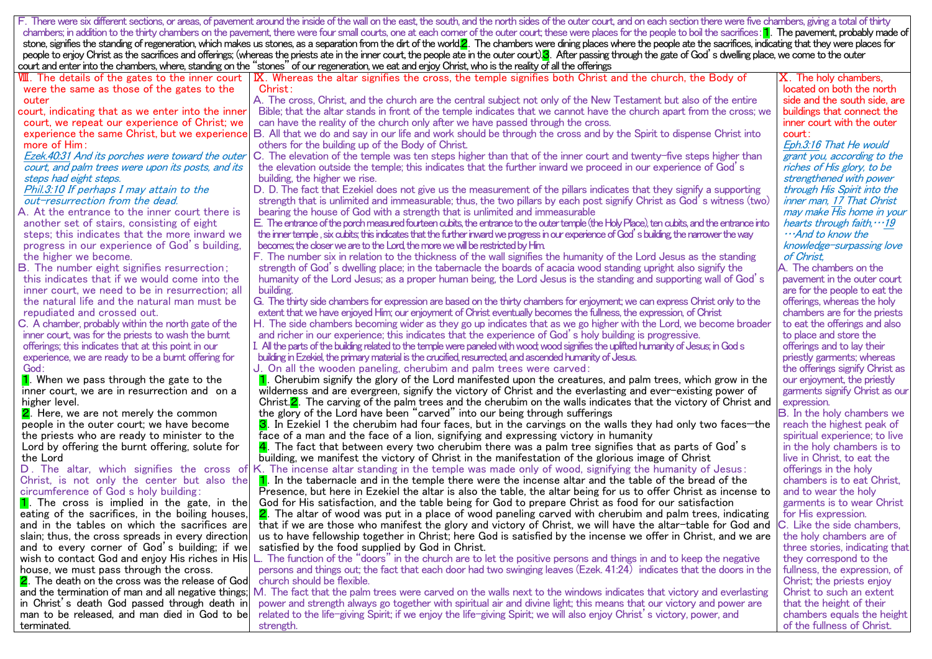F. There were six different sections, or areas, of pavement around the inside of the wall on the east, the south, and the north sides of the outer court, and on each section there were five chambers, giving a total of thir chambers; in addition to the thirty chambers on the pavement, there were four small courts, one at each corner of the outer court; these were places for the people to boil the sacrifices: <mark>1</mark>. The pavement, probably made o stone, signifies the standing of regeneration, which makes us stones, as a separation from the dirt of the world. The chambers were dining places where the people ate the sacrifices, indicating that they were places for people to enjoy Christ as the sacrifices and offerings; (whereas the priests ate in the inner court, the people ate in the outer court). After passing through the gate of God's dwelling place, we come to the outer court and enter into the chambers, where, standing on the "stones" of ourregeneration, we eat and enjoy Christ, who is the reality of all the offerings

| VIII. The details of the gates to the inner court           | I IX. Whereas the altar signifies the cross, the temple signifies both Christ and the church, the Body of                                                                                                                     | ${\bf X}.$ The holy chambers,     |
|-------------------------------------------------------------|-------------------------------------------------------------------------------------------------------------------------------------------------------------------------------------------------------------------------------|-----------------------------------|
| were the same as those of the gates to the                  | Christ:                                                                                                                                                                                                                       | located on both the north         |
| outer                                                       | A. The cross, Christ, and the church are the central subject not only of the New Testament but also of the entire                                                                                                             | side and the south side, are      |
| court, indicating that as we enter into the inner           | Bible; that the altar stands in front of the temple indicates that we cannot have the church apart from the cross; we                                                                                                         | buildings that connect the        |
| court, we repeat our experience of Christ; we               | can have the reality of the church only after we have passed through the cross.                                                                                                                                               | inner court with the outer        |
|                                                             | experience the same Christ, but we experience B. All that we do and say in our life and work should be through the cross and by the Spirit to dispense Christ into                                                            | court:                            |
| more of $Him$ :                                             | others for the building up of the Body of Christ.                                                                                                                                                                             | Eph.3:16 That He would            |
| Ezek.40:31 And its porches were toward the outer            | C. The elevation of the temple was ten steps higher than that of the inner court and twenty-five steps higher than                                                                                                            | grant you, according to the       |
| court, and palm trees were upon its posts, and its          | the elevation outside the temple; this indicates that the further inward we proceed in our experience of God's                                                                                                                | riches of His glory, to be        |
| steps had eight steps.                                      | building, the higher we rise.                                                                                                                                                                                                 | strengthened with power           |
| Phil.3:10 If perhaps I may attain to the                    | D. D. The fact that Ezekiel does not give us the measurement of the pillars indicates that they signify a supporting                                                                                                          | through His Spirit into the       |
| out-resurrection from the dead.                             | strength that is unlimited and immeasurable; thus, the two pillars by each post signify Christ as God´s witness (two)                                                                                                         | inner man. 17 That Christ         |
| A. At the entrance to the inner court there is              | bearing the house of God with a strength that is unlimited and immeasurable                                                                                                                                                   | may make His home in your         |
| another set of stairs, consisting of eight                  | E. The entrance of the porch measured fourteen cubits, the entrance to the outer temple (the Holy Place), ten cubits, and the entrance into                                                                                   | hearts through faith, $\cdots$ 19 |
| steps; this indicates that the more inward we               | the inner temple , six cubits; this indicates that the further inward we progress in our experience of God´s building, the narrower the way                                                                                   | $\cdots$ And to know the          |
| progress in our experience of God's building.               | becomes; the closer we are to the Lord, the more we will be restricted by Him.                                                                                                                                                | knowledge-surpassing love         |
| the higher we become.                                       | F. The number six in relation to the thickness of the wall signifies the humanity of the Lord Jesus as the standing                                                                                                           | of Christ.                        |
| <b>B.</b> The number eight signifies resurrection;          | strength of God's dwelling place; in the tabernacle the boards of acacia wood standing upright also signify the                                                                                                               | A. The chambers on the            |
| this indicates that if we would come into the               | humanity of the Lord Jesus; as a proper human being, the Lord Jesus is the standing and supporting wall of God´s                                                                                                              | pavement in the outer court       |
| inner court, we need to be in resurrection; all             | building.                                                                                                                                                                                                                     | are for the people to eat the     |
| the natural life and the natural man must be                | G. The thirty side chambers for expression are based on the thirty chambers for enjoyment; we can express Christ only to the                                                                                                  | offerings, whereas the holy       |
| repudiated and crossed out.                                 | extent that we have enjoyed Him; our enjoyment of Christ eventually becomes the fullness, the expression, of Christ                                                                                                           | chambers are for the priests      |
| C. A chamber, probably within the north gate of the         | H. The side chambers becoming wider as they go up indicates that as we go higher with the Lord, we become broader                                                                                                             | to eat the offerings and also     |
| inner court, was for the priests to wash the burnt          | and richer in our experience; this indicates that the experience of God's holy building is progressive.                                                                                                                       | to place and store the            |
|                                                             |                                                                                                                                                                                                                               |                                   |
| offerings; this indicates that at this point in our         | I. All the parts of the building related to the temple were paneled with wood; wood signifies the uplifted humanity of Jesus; in God s                                                                                        | offerings and to lay their        |
| experience, we are ready to be a burnt offering for<br>God: | building in Ezekiel, the primary material is the crucified, resurrected, and ascended humanity of Jesus.                                                                                                                      | priestly garments; whereas        |
|                                                             | U. On all the wooden paneling, cherubim and palm trees were carved:                                                                                                                                                           | the offerings signify Christ as   |
| 1. When we pass through the gate to the                     | 1. Cherubim signify the glory of the Lord manifested upon the creatures, and palm trees, which grow in the                                                                                                                    | our enjoyment, the priestly       |
| inner court, we are in resurrection and on a                | wilderness and are evergreen, signify the victory of Christ and the everlasting and ever-existing power of<br>Christ. 2. The carving of the palm trees and the cherubim on the walls indicates that the victory of Christ and | garments signify Christ as our    |
| higher level.                                               | the glory of the Lord have been "carved" into our being through sufferings                                                                                                                                                    | expression.                       |
| <b>2</b> . Here, we are not merely the common               |                                                                                                                                                                                                                               | <b>B.</b> In the holy chambers we |
| people in the outer court; we have become                   | <b>3</b> . In Ezekiel 1 the cherubim had four faces, but in the carvings on the walls they had only two faces—the                                                                                                             | reach the highest peak of         |
| the priests who are ready to minister to the                | face of a man and the face of a lion, signifying and expressing victory in humanity                                                                                                                                           | spiritual experience; to live     |
| Lord by offering the burnt offering, solute for             | $\overline{{\bf 4}}$ . The fact that between every two cherubim there was a palm tree signifies that as parts of God´s                                                                                                        | in the holy chambers is to        |
| the Lord                                                    | building, we manifest the victory of Christ in the manifestation of the glorious image of Christ                                                                                                                              | live in Christ, to eat the        |
| D. The altar, which signifies the cross of                  | K. The incense altar standing in the temple was made only of wood, signifying the humanity of Jesus:                                                                                                                          | offerings in the holy             |
| Christ, is not only the center but also the                 | $\,$ 1. In the tabernacle and in the temple there were the incense altar and the table of the bread of the                                                                                                                    | chambers is to eat Christ,        |
| circumference of God s holy building:                       | Presence, but here in Ezekiel the altar is also the table, the altar being for us to offer Christ as incense to                                                                                                               | and to wear the holy              |
| 1. The cross is implied in the gate, in the                 | God for His satisfaction, and the table being for God to prepare Christ as food for our satisfaction                                                                                                                          | garments is to wear Christ        |
| eating of the sacrifices, in the boiling houses,            | 2. The altar of wood was put in a place of wood paneling carved with cherubim and palm trees, indicating                                                                                                                      | for His expression.               |
| and in the tables on which the sacrifices arel              | that if we are those who manifest the glory and victory of Christ, we will have the altar-table for God and                                                                                                                   | C. Like the side chambers,        |
| slain; thus, the cross spreads in every direction           | us to have fellowship together in Christ; here God is satisfied by the incense we offer in Christ, and we are                                                                                                                 | the holy chambers are of          |
| and to every corner of God's building; if we                | satisfied by the food supplied by God in Christ.                                                                                                                                                                              | three stories, indicating that    |
| wish to contact God and enjoy His riches in Hisl            | L. The function of the "doors" in the church are to let the positive persons and things in and to keep the negative                                                                                                           | they correspond to the            |
| house, we must pass through the cross.                      | persons and things out; the fact that each door had two swinging leaves (Ezek. 41:24) indicates that the doors in the                                                                                                         | fullness, the expression, of      |
| <b>2</b> . The death on the cross was the release of God    | church should be flexible.                                                                                                                                                                                                    | Christ; the priests enjoy         |
| and the termination of man and all negative things;         | M. The fact that the palm trees were carved on the walls next to the windows indicates that victory and everlasting                                                                                                           | Christ to such an extent          |
| in Christ´s death God passed through death in               | power and strength always go together with spiritual air and divine light; this means that our victory and power are                                                                                                          | that the height of their          |
| man to be released, and man died in God to be               | related to the life-giving Spirit; if we enjoy the life-giving Spirit; we will also enjoy Christ's victory, power, and                                                                                                        | chambers equals the height        |
| terminated.                                                 | strength.                                                                                                                                                                                                                     | of the fullness of Christ.        |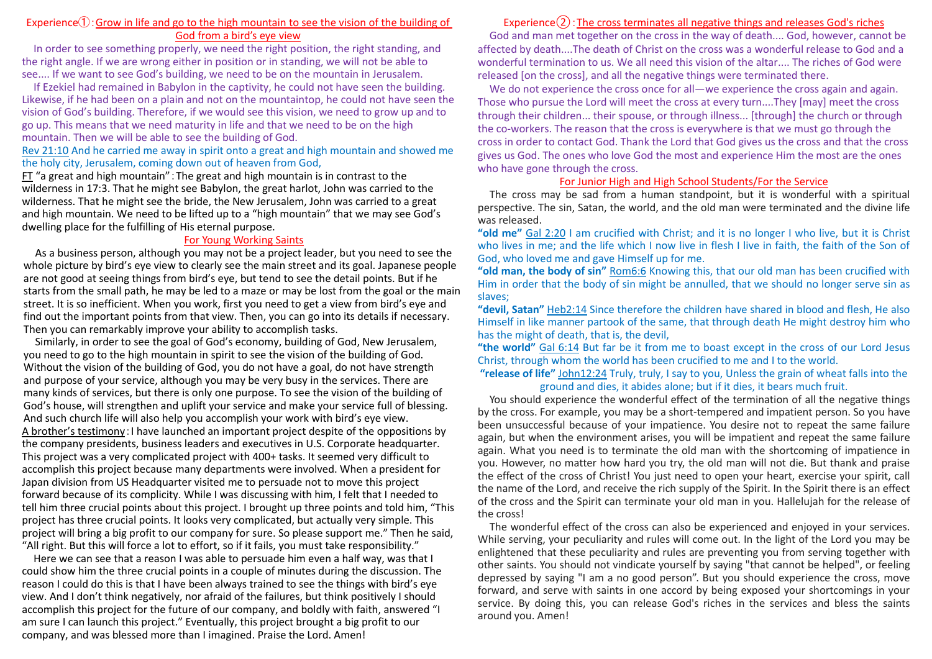#### Experience $\hat{I}$ : Grow in life and go to the high mountain to see the vision of the building of God from a bird's eye view

In order to see something properly, we need the right position, the right standing, and the right angle. If we are wrong either in position or in standing, we will not be able to see.... If we want to see God's building, we need to be on the mountain in Jerusalem.

If Ezekiel had remained in Babylon in the captivity, he could not have seen the building. Likewise, if he had been on a plain and not on the mountaintop, he could not have seen the vision of God's building. Therefore, if we would see this vision, we need to grow up and to go up. This means that we need maturity in life and that we need to be on the high mountain. Then we will be able to see the building of God.

#### Rev 21:10 And he carried me away in spirit onto a great and high mountain and showed me the holy city, Jerusalem, coming down out of heaven from God,

FT "a great and high mountain":The great and high mountain is in contrast to the wilderness in 17:3. That he might see Babylon, the great harlot, John was carried to the wilderness. That he might see the bride, the New Jerusalem, John was carried to a great and high mountain. We need to be lifted up to a "high mountain" that we may see God's dwelling place for the fulfilling of His eternal purpose.

#### For Young Working Saints

As a business person, although you may not be a project leader, but you need to see the whole picture by bird's eye view to clearly see the main street and its goal. Japanese people are not good at seeing things from bird's eye, but tend to see the detail points. But if he starts from the small path, he may be led to a maze or may be lost from the goal or the main street. It is so inefficient. When you work, first you need to get a view from bird's eye and find out the important points from that view. Then, you can go into its details if necessary. Then you can remarkably improve your ability to accomplish tasks.

Similarly, in order to see the goal of God's economy, building of God, New Jerusalem, you need to go to the high mountain in spirit to see the vision of the building of God. Without the vision of the building of God, you do not have a goal, do not have strength and purpose of your service, although you may be very busy in the services. There are many kinds of services, but there is only one purpose. To see the vision of the building of God's house, will strengthen and uplift your service and make your service full of blessing. And such church life will also help you accomplish your work with bird's eye view. A brother's testimony:I have launched an important project despite of the oppositions by the company presidents, business leaders and executives in U.S. Corporate headquarter. This project was a very complicated project with 400+ tasks. It seemed very difficult to accomplish this project because many departments were involved. When a president for Japan division from US Headquarter visited me to persuade not to move this project forward because of its complicity. While I was discussing with him, I felt that I needed to tell him three crucial points about this project. I brought up three points and told him, "This project has three crucial points. It looks very complicated, but actually very simple. This project will bring a big profit to our company for sure. So please support me." Then he said, "All right. But this will force a lot to effort, so if it fails, you must take responsibility."

Here we can see that a reason I was able to persuade him even a half way, was that I could show him the three crucial points in a couple of minutes during the discussion. The reason I could do this is that I have been always trained to see the things with bird's eye view. And I don't think negatively, nor afraid of the failures, but think positively I should accomplish this project for the future of our company, and boldly with faith, answered "I am sure I can launch this project." Eventually, this project brought a big profit to our company, and was blessed more than I imagined. Praise the Lord. Amen!

## Experience $(2)$ : The cross terminates all negative things and releases God's riches

God and man met together on the cross in the way of death.... God, however, cannot be affected by death....The death of Christ on the cross was a wonderful release to God and a wonderful termination to us. We all need this vision of the altar.... The riches of God were released [on the cross], and all the negative things were terminated there.

We do not experience the cross once for all—we experience the cross again and again. Those who pursue the Lord will meet the cross at every turn....They [may] meet the cross through their children... their spouse, or through illness... [through] the church or through the co-workers. The reason that the cross is everywhere is that we must go through the cross in order to contact God. Thank the Lord that God gives us the cross and that the cross gives us God. The ones who love God the most and experience Him the most are the ones who have gone through the cross.

#### For Junior High and High School Students/For the Service

The cross may be sad from a human standpoint, but it is wonderful with a spiritual perspective. The sin, Satan, the world, and the old man were terminated and the divine life was released.

**"old me"** Gal 2:20 I am crucified with Christ; and it is no longer I who live, but it is Christ who lives in me; and the life which I now live in flesh I live in faith, the faith of the Son of God, who loved me and gave Himself up for me.

**"old man, the body of sin"** Rom6:6 Knowing this, that our old man has been crucified with Him in order that the body of sin might be annulled, that we should no longer serve sin as slaves;

**"devil, Satan"** Heb2:14 Since therefore the children have shared in blood and flesh, He also Himself in like manner partook of the same, that through death He might destroy him who has the might of death, that is, the devil,

**"the world"** Gal 6:14 But far be it from me to boast except in the cross of our Lord Jesus Christ, through whom the world has been crucified to me and I to the world.

#### **"release of life"** John12:24 Truly, truly, I say to you, Unless the grain of wheat falls into the ground and dies, it abides alone; but if it dies, it bears much fruit.

You should experience the wonderful effect of the termination of all the negative things by the cross. For example, you may be a short-tempered and impatient person. So you have been unsuccessful because of your impatience. You desire not to repeat the same failure again, but when the environment arises, you will be impatient and repeat the same failure again. What you need is to terminate the old man with the shortcoming of impatience in you. However, no matter how hard you try, the old man will not die. But thank and praise the effect of the cross of Christ! You just need to open your heart, exercise your spirit, call the name of the Lord, and receive the rich supply of the Spirit. In the Spirit there is an effect of the cross and the Spirit can terminate your old man in you. Hallelujah for the release of the cross!

The wonderful effect of the cross can also be experienced and enjoyed in your services. While serving, your peculiarity and rules will come out. In the light of the Lord you may be enlightened that these peculiarity and rules are preventing you from serving together with other saints. You should not vindicate yourself by saying "that cannot be helped", or feeling depressed by saying "I am a no good person". But you should experience the cross, move forward, and serve with saints in one accord by being exposed your shortcomings in your service. By doing this, you can release God's riches in the services and bless the saints around you. Amen!